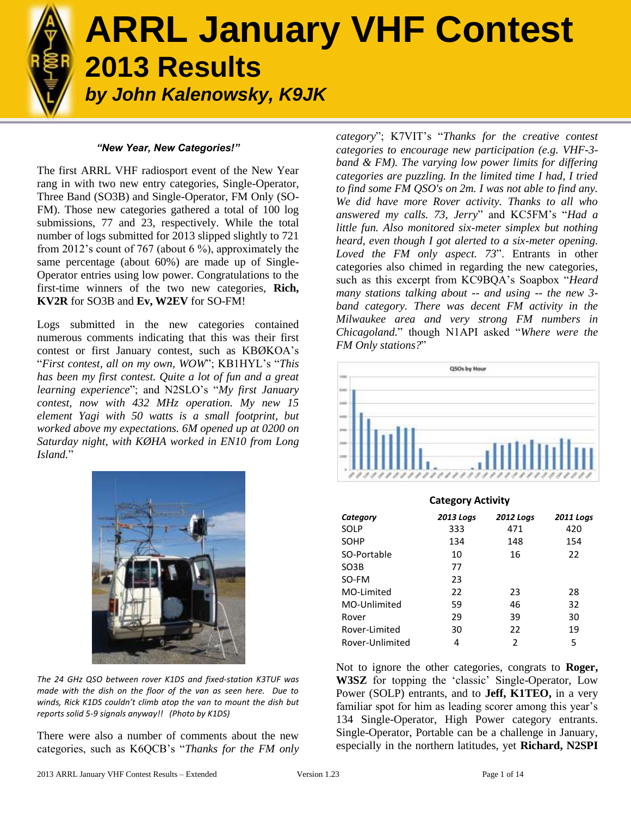

# **ARRL January VHF Contest 2013 Results**  *by John Kalenowsky, K9JK*

#### *"New Year, New Categories!"*

The first ARRL VHF radiosport event of the New Year rang in with two new entry categories, Single-Operator, Three Band (SO3B) and Single-Operator, FM Only (SO-FM). Those new categories gathered a total of 100 log submissions, 77 and 23, respectively. While the total number of logs submitted for 2013 slipped slightly to 721 from 2012's count of 767 (about 6 %), approximately the same percentage (about 60%) are made up of Single-Operator entries using low power. Congratulations to the first-time winners of the two new categories, **Rich, KV2R** for SO3B and **Ev, W2EV** for SO-FM!

Logs submitted in the new categories contained numerous comments indicating that this was their first contest or first January contest, such as KBØKOA's "*First contest, all on my own, WOW*"; KB1HYL's "*This has been my first contest. Quite a lot of fun and a great learning experience*"; and N2SLO's "*My first January contest, now with 432 MHz operation. My new 15 element Yagi with 50 watts is a small footprint, but worked above my expectations. 6M opened up at 0200 on Saturday night, with KØHA worked in EN10 from Long Island.*"



*The 24 GHz QSO between rover K1DS and fixed-station K3TUF was made with the dish on the floor of the van as seen here. Due to winds, Rick K1DS couldn't climb atop the van to mount the dish but reports solid 5-9 signals anyway!! (Photo by K1DS)*

There were also a number of comments about the new categories, such as K6QCB's "*Thanks for the FM only*  *category*"; K7VIT's "*Thanks for the creative contest categories to encourage new participation (e.g. VHF-3 band & FM). The varying low power limits for differing categories are puzzling. In the limited time I had, I tried to find some FM QSO's on 2m. I was not able to find any. We did have more Rover activity. Thanks to all who answered my calls. 73, Jerry*" and KC5FM's "*Had a little fun. Also monitored six-meter simplex but nothing heard, even though I got alerted to a six-meter opening. Loved the FM only aspect. 73*". Entrants in other categories also chimed in regarding the new categories, such as this excerpt from KC9BQA's Soapbox "*Heard many stations talking about -- and using -- the new 3 band category. There was decent FM activity in the Milwaukee area and very strong FM numbers in Chicagoland.*" though N1API asked "*Where were the FM Only stations?*"



| <b>Category Activity</b> |                  |                  |                  |  |  |  |  |
|--------------------------|------------------|------------------|------------------|--|--|--|--|
| Category                 | <b>2013 Logs</b> | <b>2012 Logs</b> | <b>2011 Logs</b> |  |  |  |  |
| SOLP                     | 333              | 471              | 420              |  |  |  |  |
| <b>SOHP</b>              | 134              | 148              | 154              |  |  |  |  |
| SO-Portable              | 10               | 16               | 22               |  |  |  |  |
| SO <sub>3</sub> B        | 77               |                  |                  |  |  |  |  |
| SO-FM                    | 23               |                  |                  |  |  |  |  |
| MO-Limited               | 22               | 23               | 28               |  |  |  |  |
| MO-Unlimited             | 59               | 46               | 32               |  |  |  |  |
| Rover                    | 29               | 39               | 30               |  |  |  |  |
| Rover-Limited            | 30               | 22               | 19               |  |  |  |  |
| Rover-Unlimited          | 4                | 2                | 5                |  |  |  |  |

Not to ignore the other categories, congrats to **Roger, W3SZ** for topping the 'classic' Single-Operator, Low Power (SOLP) entrants, and to **Jeff, K1TEO,** in a very familiar spot for him as leading scorer among this year's 134 Single-Operator, High Power category entrants. Single-Operator, Portable can be a challenge in January, especially in the northern latitudes, yet **Richard, N2SPI**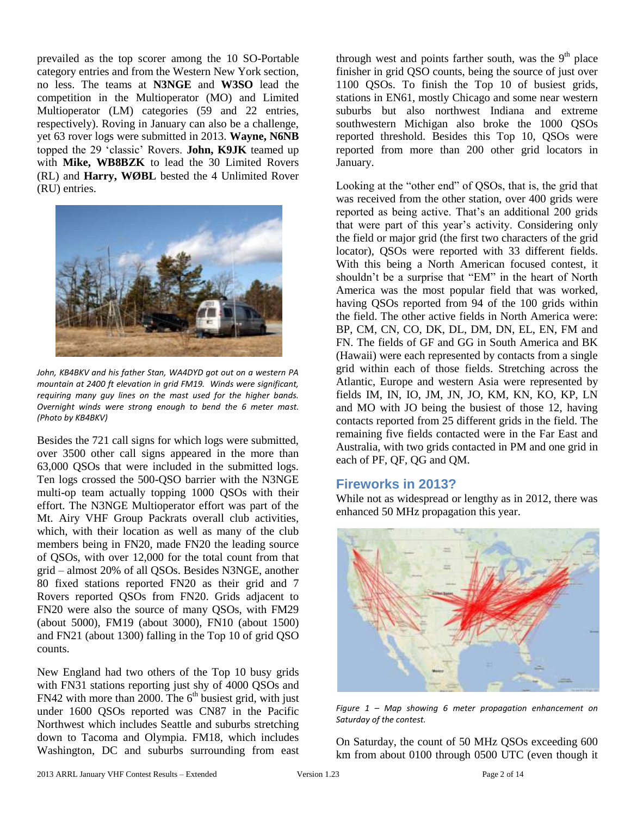prevailed as the top scorer among the 10 SO-Portable category entries and from the Western New York section, no less. The teams at **N3NGE** and **W3SO** lead the competition in the Multioperator (MO) and Limited Multioperator (LM) categories (59 and 22 entries, respectively). Roving in January can also be a challenge, yet 63 rover logs were submitted in 2013. **Wayne, N6NB** topped the 29 'classic' Rovers. **John, K9JK** teamed up with **Mike, WB8BZK** to lead the 30 Limited Rovers (RL) and **Harry, WØBL** bested the 4 Unlimited Rover (RU) entries.



*John, KB4BKV and his father Stan, WA4DYD got out on a western PA mountain at 2400 ft elevation in grid FM19. Winds were significant, requiring many guy lines on the mast used for the higher bands. Overnight winds were strong enough to bend the 6 meter mast. (Photo by KB4BKV)*

Besides the 721 call signs for which logs were submitted, over 3500 other call signs appeared in the more than 63,000 QSOs that were included in the submitted logs. Ten logs crossed the 500-QSO barrier with the N3NGE multi-op team actually topping 1000 QSOs with their effort. The N3NGE Multioperator effort was part of the Mt. Airy VHF Group Packrats overall club activities, which, with their location as well as many of the club members being in FN20, made FN20 the leading source of QSOs, with over 12,000 for the total count from that grid – almost 20% of all QSOs. Besides N3NGE, another 80 fixed stations reported FN20 as their grid and 7 Rovers reported QSOs from FN20. Grids adjacent to FN20 were also the source of many QSOs, with FM29 (about 5000), FM19 (about 3000), FN10 (about 1500) and FN21 (about 1300) falling in the Top 10 of grid QSO counts.

New England had two others of the Top 10 busy grids with FN31 stations reporting just shy of 4000 QSOs and  $FN42$  with more than 2000. The  $6<sup>th</sup>$  busiest grid, with just under 1600 QSOs reported was CN87 in the Pacific Northwest which includes Seattle and suburbs stretching down to Tacoma and Olympia. FM18, which includes Washington, DC and suburbs surrounding from east

through west and points farther south, was the  $9<sup>th</sup>$  place finisher in grid QSO counts, being the source of just over 1100 QSOs. To finish the Top 10 of busiest grids, stations in EN61, mostly Chicago and some near western suburbs but also northwest Indiana and extreme southwestern Michigan also broke the 1000 QSOs reported threshold. Besides this Top 10, QSOs were reported from more than 200 other grid locators in January.

Looking at the "other end" of QSOs, that is, the grid that was received from the other station, over 400 grids were reported as being active. That's an additional 200 grids that were part of this year's activity. Considering only the field or major grid (the first two characters of the grid locator), QSOs were reported with 33 different fields. With this being a North American focused contest, it shouldn't be a surprise that "EM" in the heart of North America was the most popular field that was worked, having QSOs reported from 94 of the 100 grids within the field. The other active fields in North America were: BP, CM, CN, CO, DK, DL, DM, DN, EL, EN, FM and FN. The fields of GF and GG in South America and BK (Hawaii) were each represented by contacts from a single grid within each of those fields. Stretching across the Atlantic, Europe and western Asia were represented by fields IM, IN, IO, JM, JN, JO, KM, KN, KO, KP, LN and MO with JO being the busiest of those 12, having contacts reported from 25 different grids in the field. The remaining five fields contacted were in the Far East and Australia, with two grids contacted in PM and one grid in each of PF, QF, QG and QM.

#### **Fireworks in 2013?**

While not as widespread or lengthy as in 2012, there was enhanced 50 MHz propagation this year.



*Figure 1 – Map showing 6 meter propagation enhancement on Saturday of the contest.*

On Saturday, the count of 50 MHz QSOs exceeding 600 km from about 0100 through 0500 UTC (even though it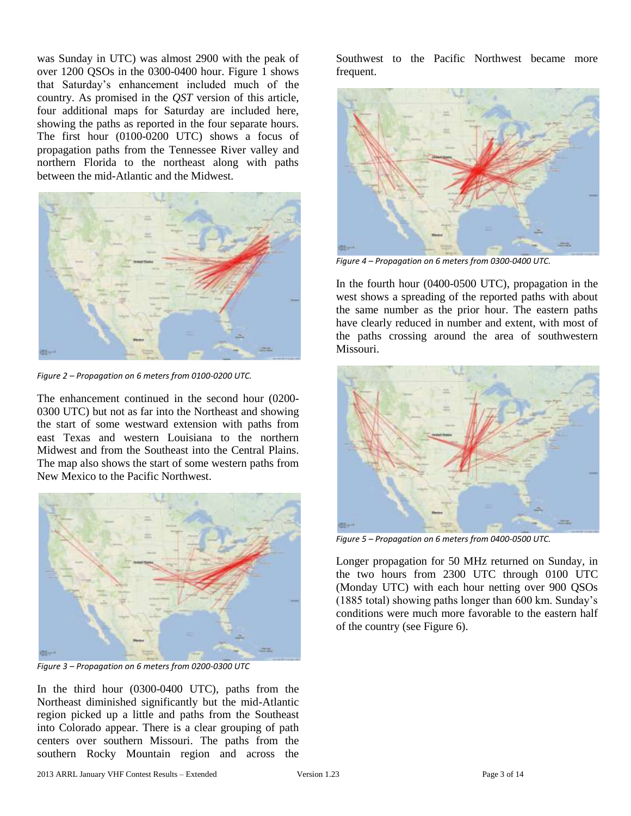was Sunday in UTC) was almost 2900 with the peak of over 1200 QSOs in the 0300-0400 hour. Figure 1 shows that Saturday's enhancement included much of the country. As promised in the *QST* version of this article, four additional maps for Saturday are included here, showing the paths as reported in the four separate hours. The first hour (0100-0200 UTC) shows a focus of propagation paths from the Tennessee River valley and northern Florida to the northeast along with paths between the mid-Atlantic and the Midwest.



*Figure 2 – Propagation on 6 meters from 0100-0200 UTC.*

The enhancement continued in the second hour (0200- 0300 UTC) but not as far into the Northeast and showing the start of some westward extension with paths from east Texas and western Louisiana to the northern Midwest and from the Southeast into the Central Plains. The map also shows the start of some western paths from New Mexico to the Pacific Northwest.



*Figure 3 – Propagation on 6 meters from 0200-0300 UTC*

In the third hour (0300-0400 UTC), paths from the Northeast diminished significantly but the mid-Atlantic region picked up a little and paths from the Southeast into Colorado appear. There is a clear grouping of path centers over southern Missouri. The paths from the southern Rocky Mountain region and across the

Southwest to the Pacific Northwest became more frequent.



*Figure 4 – Propagation on 6 meters from 0300-0400 UTC.*

In the fourth hour (0400-0500 UTC), propagation in the west shows a spreading of the reported paths with about the same number as the prior hour. The eastern paths have clearly reduced in number and extent, with most of the paths crossing around the area of southwestern Missouri.



*Figure 5 – Propagation on 6 meters from 0400-0500 UTC.*

Longer propagation for 50 MHz returned on Sunday, in the two hours from 2300 UTC through 0100 UTC (Monday UTC) with each hour netting over 900 QSOs (1885 total) showing paths longer than 600 km. Sunday's conditions were much more favorable to the eastern half of the country (see Figure 6).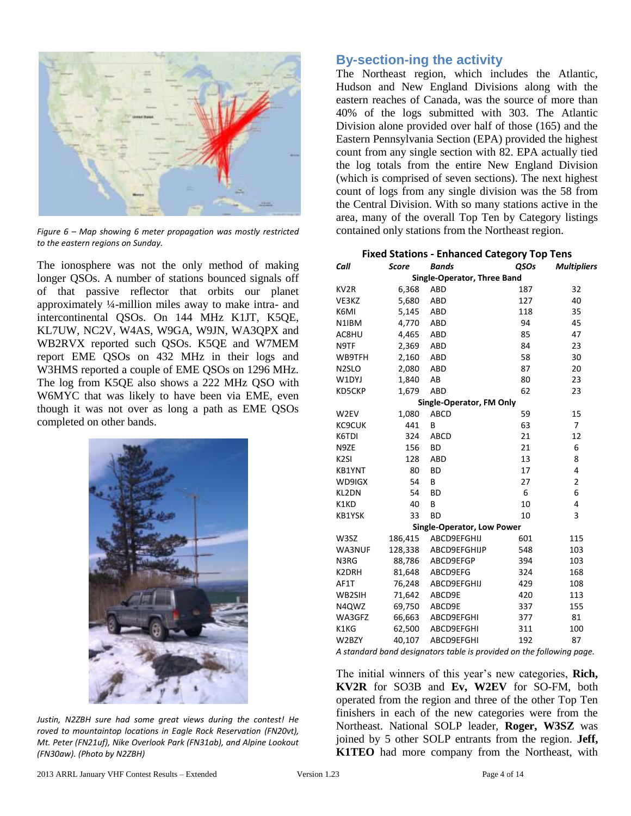

*Figure 6 – Map showing 6 meter propagation was mostly restricted to the eastern regions on Sunday.*

The ionosphere was not the only method of making longer QSOs. A number of stations bounced signals off of that passive reflector that orbits our planet approximately ¼-million miles away to make intra- and intercontinental QSOs. On 144 MHz K1JT, K5QE, KL7UW, NC2V, W4AS, W9GA, W9JN, WA3QPX and WB2RVX reported such QSOs. K5QE and W7MEM report EME QSOs on 432 MHz in their logs and W3HMS reported a couple of EME QSOs on 1296 MHz. The log from K5QE also shows a 222 MHz QSO with W6MYC that was likely to have been via EME, even though it was not over as long a path as EME QSOs completed on other bands.



*Justin, N2ZBH sure had some great views during the contest! He roved to mountaintop locations in Eagle Rock Reservation (FN20vt), Mt. Peter (FN21uf), Nike Overlook Park (FN31ab), and Alpine Lookout (FN30aw). (Photo by N2ZBH)*

## **By-section-ing the activity**

The Northeast region, which includes the Atlantic, Hudson and New England Divisions along with the eastern reaches of Canada, was the source of more than 40% of the logs submitted with 303. The Atlantic Division alone provided over half of those (165) and the Eastern Pennsylvania Section (EPA) provided the highest count from any single section with 82. EPA actually tied the log totals from the entire New England Division (which is comprised of seven sections). The next highest count of logs from any single division was the 58 from the Central Division. With so many stations active in the area, many of the overall Top Ten by Category listings contained only stations from the Northeast region.

|                    | <b>Fixed Stations - Enhanced Category Top Tens</b>                     |                            |             |                    |  |  |  |  |  |
|--------------------|------------------------------------------------------------------------|----------------------------|-------------|--------------------|--|--|--|--|--|
| Call               | <b>Score</b>                                                           | <b>Bands</b>               | <b>QSOs</b> | <b>Multipliers</b> |  |  |  |  |  |
|                    | Single-Operator, Three Band                                            |                            |             |                    |  |  |  |  |  |
| KV <sub>2</sub> R  | 6,368                                                                  | ABD                        | 187         | 32                 |  |  |  |  |  |
| VE3KZ              | 5,680                                                                  | ABD                        | 127         | 40                 |  |  |  |  |  |
| K6MI               | 5,145                                                                  | ABD                        | 118         | 35                 |  |  |  |  |  |
| N1IBM              | 4,770                                                                  | ABD                        | 94          | 45                 |  |  |  |  |  |
| AC8HU              | 4,465                                                                  | ABD                        | 85          | 47                 |  |  |  |  |  |
| N9TF               | 2,369                                                                  | <b>ABD</b>                 | 84          | 23                 |  |  |  |  |  |
| WB9TFH             | 2,160                                                                  | <b>ABD</b>                 | 58          | 30                 |  |  |  |  |  |
| N <sub>2</sub> SLO | 2,080                                                                  | <b>ABD</b>                 | 87          | 20                 |  |  |  |  |  |
| W1DYJ              | 1,840                                                                  | AB                         | 80          | 23                 |  |  |  |  |  |
| KD5CKP             | 1,679                                                                  | <b>ABD</b>                 | 62          | 23                 |  |  |  |  |  |
|                    |                                                                        | Single-Operator, FM Only   |             |                    |  |  |  |  |  |
| W2EV               | 1,080                                                                  | ABCD                       | 59          | 15                 |  |  |  |  |  |
| KC9CUK             | 441                                                                    | B                          | 63          | $\overline{7}$     |  |  |  |  |  |
| K6TDI              | 324                                                                    | ABCD                       | 21          | 12                 |  |  |  |  |  |
| N9ZE               | 156                                                                    | BD                         | 21          | 6                  |  |  |  |  |  |
| K <sub>2SI</sub>   | 128                                                                    | <b>ABD</b>                 | 13          | 8                  |  |  |  |  |  |
| KB1YNT             | 80                                                                     | <b>BD</b>                  | 17          | 4                  |  |  |  |  |  |
| WD9IGX             | 54                                                                     | B                          | 27          | $\overline{2}$     |  |  |  |  |  |
| KL2DN              | 54                                                                     | <b>BD</b>                  | 6           | 6                  |  |  |  |  |  |
| K1KD               | 40                                                                     | B                          | 10          | 4                  |  |  |  |  |  |
| KB1YSK             | 33                                                                     | <b>BD</b>                  | 10          | 3                  |  |  |  |  |  |
|                    |                                                                        | Single-Operator, Low Power |             |                    |  |  |  |  |  |
| W3SZ               | 186,415                                                                | ABCD9EFGHIJ                | 601         | 115                |  |  |  |  |  |
| WA3NUF             | 128,338                                                                | ABCD9EFGHIJP               | 548         | 103                |  |  |  |  |  |
| N3RG               | 88,786                                                                 | ABCD9EFGP                  | 394         | 103                |  |  |  |  |  |
| K2DRH              | 81,648                                                                 | ABCD9EFG                   | 324         | 168                |  |  |  |  |  |
| AF1T               | 76,248                                                                 | ABCD9EFGHIJ                | 429         | 108                |  |  |  |  |  |
| WB2SIH             | 71,642                                                                 | ABCD9E                     | 420         | 113                |  |  |  |  |  |
| N4QWZ              | 69,750                                                                 | ABCD9E                     | 337         | 155                |  |  |  |  |  |
| WA3GFZ             | 66,663                                                                 | ABCD9EFGHI                 | 377         | 81                 |  |  |  |  |  |
| K1KG               | 62,500                                                                 | ABCD9EFGHI                 | 311         | 100                |  |  |  |  |  |
| W2BZY              | 40,107                                                                 | ABCD9EFGHI                 | 192         | 87                 |  |  |  |  |  |
|                    | A stair daud house desirementaux tale le jeune ideal aux theofellowing |                            |             |                    |  |  |  |  |  |

*A standard band designators table is provided on the following page.*

The initial winners of this year's new categories, **Rich, KV2R** for SO3B and **Ev, W2EV** for SO-FM, both operated from the region and three of the other Top Ten finishers in each of the new categories were from the Northeast. National SOLP leader, **Roger, W3SZ** was joined by 5 other SOLP entrants from the region. **Jeff, K1TEO** had more company from the Northeast, with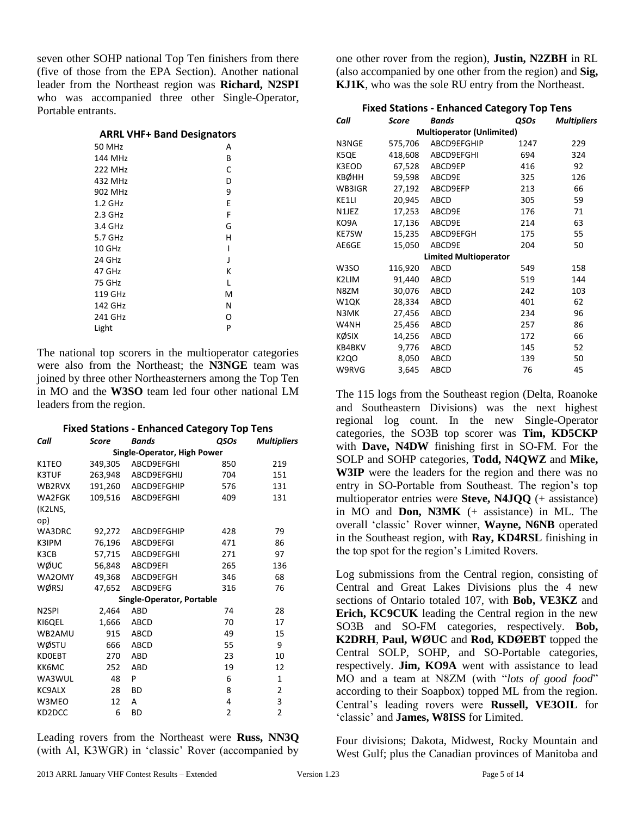seven other SOHP national Top Ten finishers from there (five of those from the EPA Section). Another national leader from the Northeast region was **Richard, N2SPI** who was accompanied three other Single-Operator, Portable entrants.

| <b>ARRL VHF+ Band Designators</b> |    |
|-----------------------------------|----|
| 50 MHz                            | А  |
| 144 MHz                           | R  |
| 222 MH <sub>7</sub>               | C  |
| 122111                            | n. |

| 432 MHz | D |
|---------|---|
| 902 MHz | 9 |
| 1.2 GHz | E |
| 2.3 GHz | F |
| 3.4 GHz | G |
| 5.7 GHz | н |
| 10 GHz  | ı |
| 24 GHz  | J |
| 47 GHz  | К |
| 75 GHz  | L |
| 119 GHz | M |
| 142 GHz | N |
| 241 GHz | O |
| Light   | P |

The national top scorers in the multioperator categories were also from the Northeast; the **N3NGE** team was joined by three other Northeasterners among the Top Ten in MO and the **W3SO** team led four other national LM leaders from the region.

|                    | <b>Fixed Stations - Enhanced Category Top Tens</b> |                             |             |                    |  |  |  |  |
|--------------------|----------------------------------------------------|-----------------------------|-------------|--------------------|--|--|--|--|
| Call               | <b>Score</b>                                       | <b>Bands</b>                | <b>OSOs</b> | <b>Multipliers</b> |  |  |  |  |
|                    |                                                    | Single-Operator, High Power |             |                    |  |  |  |  |
| K1TEO              | 349,305                                            | ABCD9EFGHI                  | 850         | 219                |  |  |  |  |
| <b>K3TUF</b>       | 263,948                                            | ABCD9EFGHIJ                 | 704         | 151                |  |  |  |  |
| WB2RVX             | 191,260                                            | ABCD9EFGHIP                 | 576         | 131                |  |  |  |  |
| WA2FGK             | 109,516                                            | ABCD9EFGHI                  | 409         | 131                |  |  |  |  |
| (K2LNS,            |                                                    |                             |             |                    |  |  |  |  |
| op)                |                                                    |                             |             |                    |  |  |  |  |
| WA3DRC             | 92,272                                             | ABCD9EFGHIP                 | 428         | 79                 |  |  |  |  |
| K3IPM              | 76,196                                             | ABCD9EFGI                   | 471         | 86                 |  |  |  |  |
| K3CB               | 57,715                                             | ABCD9EFGHI                  | 271         | 97                 |  |  |  |  |
| wøuc               | 56,848                                             | ABCD9EFI                    | 265         | 136                |  |  |  |  |
| WA2OMY             | 49,368                                             | ABCD9EFGH                   | 346         | 68                 |  |  |  |  |
| WØRSJ              | 47,652                                             | ABCD9EFG                    | 316         | 76                 |  |  |  |  |
|                    |                                                    | Single-Operator, Portable   |             |                    |  |  |  |  |
| N <sub>2</sub> SPI | 2,464                                              | ABD                         | 74          | 28                 |  |  |  |  |
| KI6QEL             | 1,666                                              | ABCD                        | 70          | 17                 |  |  |  |  |
| WB2AMU             | 915                                                | ABCD                        | 49          | 15                 |  |  |  |  |
| <b>WØSTU</b>       | 666                                                | <b>ABCD</b>                 | 55          | 9                  |  |  |  |  |
| <b>KDOEBT</b>      | 270                                                | <b>ABD</b>                  | 23          | 10                 |  |  |  |  |
| KK6MC              | 252                                                | <b>ABD</b>                  | 19          | 12                 |  |  |  |  |
| WA3WUL             | 48                                                 | P                           | 6           | 1                  |  |  |  |  |
| KC9ALX             | 28                                                 | ВD                          | 8           | 2                  |  |  |  |  |
| W3MEO              | 12                                                 | А                           | 4           | 3                  |  |  |  |  |
| KD2DCC             | 6                                                  | BD                          | 2           | $\overline{2}$     |  |  |  |  |

Leading rovers from the Northeast were **Russ, NN3Q** (with Al, K3WGR) in 'classic' Rover (accompanied by

one other rover from the region), **Justin, N2ZBH** in RL (also accompanied by one other from the region) and **Sig, KJ1K**, who was the sole RU entry from the Northeast.

| <b>Fixed Stations - Enhanced Category Top Tens</b> |         |                              |      |                    |  |  |  |  |
|----------------------------------------------------|---------|------------------------------|------|--------------------|--|--|--|--|
| Call                                               | Score   | <b>Bands</b>                 | OSOs | <b>Multipliers</b> |  |  |  |  |
| <b>Multioperator (Unlimited)</b>                   |         |                              |      |                    |  |  |  |  |
| N3NGE                                              | 575,706 | ABCD9EFGHIP                  | 1247 | 229                |  |  |  |  |
| K5QE                                               | 418,608 | ABCD9EFGHI                   | 694  | 324                |  |  |  |  |
| K3EOD                                              | 67,528  | ABCD9EP                      | 416  | 92                 |  |  |  |  |
| <b>KBØHH</b>                                       | 59,598  | ABCD9E                       | 325  | 126                |  |  |  |  |
| WB3IGR                                             | 27,192  | ABCD9EFP                     | 213  | 66                 |  |  |  |  |
| KE1LI                                              | 20,945  | <b>ABCD</b>                  | 305  | 59                 |  |  |  |  |
| N1JEZ                                              | 17,253  | ABCD9E                       | 176  | 71                 |  |  |  |  |
| KO9A                                               | 17,136  | ABCD9E                       | 214  | 63                 |  |  |  |  |
| <b>KE7SW</b>                                       | 15,235  | ABCD9EFGH                    | 175  | 55                 |  |  |  |  |
| AE6GE                                              | 15,050  | ABCD9E                       | 204  | 50                 |  |  |  |  |
|                                                    |         | <b>Limited Multioperator</b> |      |                    |  |  |  |  |
| W <sub>3</sub> SO                                  | 116,920 | <b>ABCD</b>                  | 549  | 158                |  |  |  |  |
| K2LIM                                              | 91,440  | <b>ABCD</b>                  | 519  | 144                |  |  |  |  |
| N8ZM                                               | 30,076  | <b>ABCD</b>                  | 242  | 103                |  |  |  |  |
| W1QK                                               | 28,334  | <b>ABCD</b>                  | 401  | 62                 |  |  |  |  |
| N3MK                                               | 27,456  | <b>ABCD</b>                  | 234  | 96                 |  |  |  |  |
| W4NH                                               | 25,456  | <b>ABCD</b>                  | 257  | 86                 |  |  |  |  |
| KØSIX                                              | 14,256  | <b>ABCD</b>                  | 172  | 66                 |  |  |  |  |
| KB4BKV                                             | 9,776   | <b>ABCD</b>                  | 145  | 52                 |  |  |  |  |
| K <sub>2</sub> Q <sub>O</sub>                      | 8,050   | <b>ABCD</b>                  | 139  | 50                 |  |  |  |  |
| W9RVG                                              | 3,645   | <b>ABCD</b>                  | 76   | 45                 |  |  |  |  |

The 115 logs from the Southeast region (Delta, Roanoke and Southeastern Divisions) was the next highest regional log count. In the new Single-Operator categories, the SO3B top scorer was **Tim, KD5CKP** with **Dave, N4DW** finishing first in SO-FM. For the SOLP and SOHP categories, **Todd, N4QWZ** and **Mike, W3IP** were the leaders for the region and there was no entry in SO-Portable from Southeast. The region's top multioperator entries were **Steve, N4JQQ** (+ assistance) in MO and **Don, N3MK** (+ assistance) in ML. The overall 'classic' Rover winner, **Wayne, N6NB** operated in the Southeast region, with **Ray, KD4RSL** finishing in the top spot for the region's Limited Rovers.

Log submissions from the Central region, consisting of Central and Great Lakes Divisions plus the 4 new sections of Ontario totaled 107, with **Bob, VE3KZ** and **Erich, KC9CUK** leading the Central region in the new SO3B and SO-FM categories, respectively. **Bob, K2DRH**, **Paul, WØUC** and **Rod, KDØEBT** topped the Central SOLP, SOHP, and SO-Portable categories, respectively. **Jim, KO9A** went with assistance to lead MO and a team at N8ZM (with "*lots of good food*" according to their Soapbox) topped ML from the region. Central's leading rovers were **Russell, VE3OIL** for 'classic' and **James, W8ISS** for Limited.

Four divisions; Dakota, Midwest, Rocky Mountain and West Gulf; plus the Canadian provinces of Manitoba and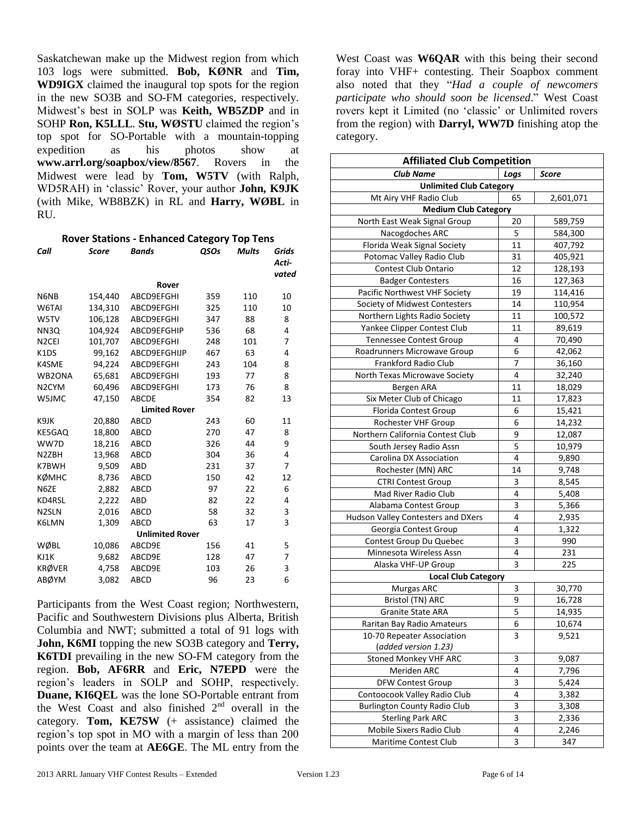Saskatchewan make up the Midwest region from which 103 logs were submitted. **Bob, KØNR** and **Tim, WD9IGX** claimed the inaugural top spots for the region in the new SO3B and SO-FM categories, respectively. Midwest's best in SOLP was **Keith, WB5ZDP** and in SOHP **Ron, K5LLL**. **Stu, WØSTU** claimed the region's top spot for SO-Portable with a mountain-topping expedition as his photos show at **www.arrl.org/soapbox/view/8567**. Rovers in the Midwest were lead by **Tom, W5TV** (with Ralph, WD5RAH) in 'classic' Rover, your author **John, K9JK** (with Mike, WB8BZK) in RL and **Harry, WØBL** in RU.

**Rover Stations - Enhanced Category Top Tens**

| Call               | <b>Score</b> | Bands                  | QSOs | Mults | Grids<br>Acti- |
|--------------------|--------------|------------------------|------|-------|----------------|
|                    |              |                        |      |       | vated          |
|                    |              | Rover                  |      |       |                |
| N6NB               | 154,440      | ABCD9EFGHI             | 359  | 110   | 10             |
| W6TAI              | 134,310      | ABCD9EFGHI             | 325  | 110   | 10             |
| W5TV               | 106,128      | ABCD9EFGHI             | 347  | 88    | 8              |
| NN3Q               | 104,924      | ABCD9EFGHIP            | 536  | 68    | 4              |
| N <sub>2</sub> CEI | 101,707      | ABCD9EFGHI             | 248  | 101   | 7              |
| K <sub>1</sub> DS  | 99,162       | ABCD9EFGHIJP           | 467  | 63    | 4              |
| K4SME              | 94,224       | ABCD9EFGHI             | 243  | 104   | 8              |
| WB2ONA             | 65,681       | ABCD9EFGHI             | 193  | 77    | 8              |
| N <sub>2</sub> CYM | 60,496       | ABCD9EFGHI             | 173  | 76    | 8              |
| W5JMC              | 47,150       | ABCDE                  | 354  | 82    | 13             |
|                    |              | <b>Limited Rover</b>   |      |       |                |
| K9JK               | 20,880       | ABCD                   | 243  | 60    | 11             |
| KE5GAQ             | 18,800       | ABCD                   | 270  | 47    | 8              |
| WW7D               | 18,216       | ABCD                   | 326  | 44    | 9              |
| N2ZBH              | 13,968       | ABCD                   | 304  | 36    | 4              |
| K7BWH              | 9,509        | ABD                    | 231  | 37    | 7              |
| кøмнс              | 8,736        | ABCD                   | 150  | 42    | 12             |
| N6ZE               | 2,882        | ABCD                   | 97   | 22    | 6              |
| KD4RSL             | 2,222        | ABD                    | 82   | 22    | 4              |
| N <sub>2</sub> SLN | 2,016        | ABCD                   | 58   | 32    | 3              |
| K6LMN              | 1,309        | ABCD                   | 63   | 17    | 3              |
|                    |              | <b>Unlimited Rover</b> |      |       |                |
| WØBL               | 10,086       | ABCD9E                 | 156  | 41    | 5              |
| KJ1K               | 9,682        | ABCD9E                 | 128  | 47    | 7              |
| <b>KRØVER</b>      | 4,758        | ABCD9E                 | 103  | 26    | 3              |
| ABØYM              | 3,082        | ABCD                   | 96   | 23    | 6              |

Participants from the West Coast region; Northwestern, Pacific and Southwestern Divisions plus Alberta, British Columbia and NWT; submitted a total of 91 logs with **John, K6MI** topping the new SO3B category and **Terry, K6TDI** prevailing in the new SO-FM category from the region. **Bob, AF6RR** and **Eric, N7EPD** were the region's leaders in SOLP and SOHP, respectively. **Duane, KI6QEL** was the lone SO-Portable entrant from the West Coast and also finished  $2<sup>nd</sup>$  overall in the category. **Tom, KE7SW** (+ assistance) claimed the region's top spot in MO with a margin of less than 200 points over the team at **AE6GE**. The ML entry from the

West Coast was **W6QAR** with this being their second foray into VHF+ contesting. Their Soapbox comment also noted that they "*Had a couple of newcomers participate who should soon be licensed*." West Coast rovers kept it Limited (no 'classic' or Unlimited rovers from the region) with **Darryl, WW7D** finishing atop the category.

| <b>Affiliated Club Competition</b>  |      |           |
|-------------------------------------|------|-----------|
| <b>Club Name</b>                    | Logs | Score     |
| <b>Unlimited Club Category</b>      |      |           |
| Mt Airy VHF Radio Club              | 65   | 2,601,071 |
| <b>Medium Club Category</b>         |      |           |
| North East Weak Signal Group        | 20   | 589,759   |
| Nacogdoches ARC                     | 5    | 584,300   |
| Florida Weak Signal Society         | 11   | 407,792   |
| Potomac Valley Radio Club           | 31   | 405,921   |
| Contest Club Ontario                | 12   | 128,193   |
| <b>Badger Contesters</b>            | 16   | 127,363   |
| Pacific Northwest VHF Society       | 19   | 114,416   |
| Society of Midwest Contesters       | 14   | 110,954   |
| Northern Lights Radio Society       | 11   | 100,572   |
| Yankee Clipper Contest Club         | 11   | 89,619    |
| <b>Tennessee Contest Group</b>      | 4    | 70,490    |
| Roadrunners Microwave Group         | 6    | 42,062    |
| <b>Frankford Radio Club</b>         | 7    | 36,160    |
| North Texas Microwave Society       | 4    | 32,240    |
| Bergen ARA                          | 11   | 18,029    |
| Six Meter Club of Chicago           | 11   | 17,823    |
| Florida Contest Group               | 6    | 15,421    |
| Rochester VHF Group                 | 6    | 14,232    |
| Northern California Contest Club    | 9    | 12,087    |
| South Jersey Radio Assn             | 5    | 10,979    |
| Carolina DX Association             | 4    | 9,890     |
| Rochester (MN) ARC                  | 14   | 9,748     |
| <b>CTRI Contest Group</b>           | 3    | 8,545     |
| Mad River Radio Club                | 4    | 5,408     |
| Alabama Contest Group               | 3    | 5,366     |
| Hudson Valley Contesters and DXers  | 4    | 2,935     |
| Georgia Contest Group               | 4    | 1,322     |
| Contest Group Du Quebec             | 3    | 990       |
| Minnesota Wireless Assn             | 4    | 231       |
| Alaska VHF-UP Group                 | 3    | 225       |
| <b>Local Club Category</b>          |      |           |
| Murgas ARC                          | 3    | 30,770    |
| Bristol (TN) ARC                    | 9    | 16,728    |
| <b>Granite State ARA</b>            | 5    | 14.935    |
| Raritan Bay Radio Amateurs          | 6    | 10,674    |
| 10-70 Repeater Association          | 3    | 9,521     |
| (added version 1.23)                |      |           |
| <b>Stoned Monkey VHF ARC</b>        | 3    | 9,087     |
| Meriden ARC                         | 4    | 7,796     |
| <b>DFW Contest Group</b>            | 3    | 5,424     |
| Contoocook Valley Radio Club        | 4    | 3,382     |
| <b>Burlington County Radio Club</b> | 3    | 3,308     |
| <b>Sterling Park ARC</b>            | 3    | 2,336     |
| Mobile Sixers Radio Club            | 4    | 2,246     |
| Maritime Contest Club               | 3    | 347       |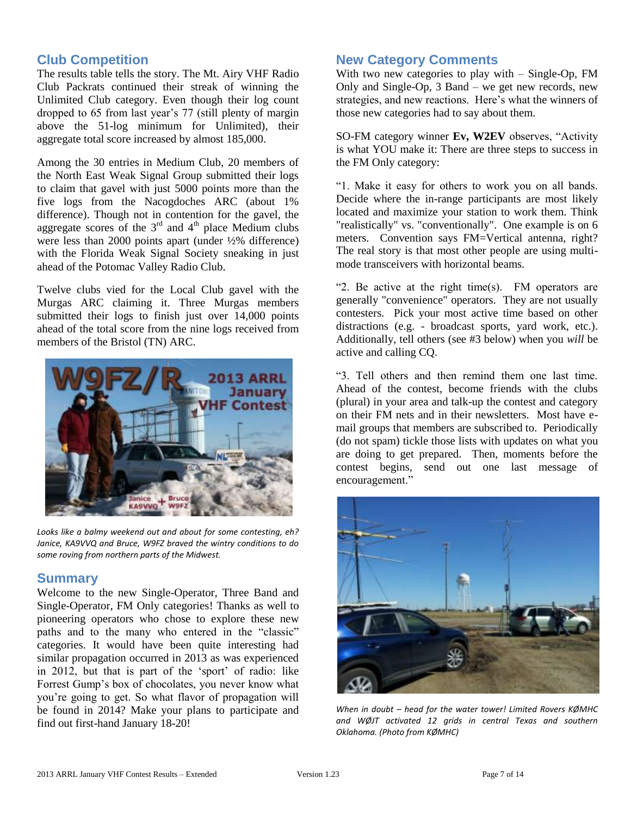## **Club Competition**

The results table tells the story. The Mt. Airy VHF Radio Club Packrats continued their streak of winning the Unlimited Club category. Even though their log count dropped to 65 from last year's 77 (still plenty of margin above the 51-log minimum for Unlimited), their aggregate total score increased by almost 185,000.

Among the 30 entries in Medium Club, 20 members of the North East Weak Signal Group submitted their logs to claim that gavel with just 5000 points more than the five logs from the Nacogdoches ARC (about 1% difference). Though not in contention for the gavel, the aggregate scores of the  $3<sup>rd</sup>$  and  $4<sup>th</sup>$  place Medium clubs were less than 2000 points apart (under ½% difference) with the Florida Weak Signal Society sneaking in just ahead of the Potomac Valley Radio Club.

Twelve clubs vied for the Local Club gavel with the Murgas ARC claiming it. Three Murgas members submitted their logs to finish just over 14,000 points ahead of the total score from the nine logs received from members of the Bristol (TN) ARC.



*Looks like a balmy weekend out and about for some contesting, eh? Janice, KA9VVQ and Bruce, W9FZ braved the wintry conditions to do some roving from northern parts of the Midwest.*

#### **Summary**

Welcome to the new Single-Operator, Three Band and Single-Operator, FM Only categories! Thanks as well to pioneering operators who chose to explore these new paths and to the many who entered in the "classic" categories. It would have been quite interesting had similar propagation occurred in 2013 as was experienced in 2012, but that is part of the 'sport' of radio: like Forrest Gump's box of chocolates, you never know what you're going to get. So what flavor of propagation will be found in 2014? Make your plans to participate and find out first-hand January 18-20!

### **New Category Comments**

With two new categories to play with – Single-Op, FM Only and Single-Op, 3 Band – we get new records, new strategies, and new reactions. Here's what the winners of those new categories had to say about them.

SO-FM category winner **Ev, W2EV** observes, "Activity is what YOU make it: There are three steps to success in the FM Only category:

"1. Make it easy for others to work you on all bands. Decide where the in-range participants are most likely located and maximize your station to work them. Think "realistically" vs. "conventionally". One example is on 6 meters. Convention says FM=Vertical antenna, right? The real story is that most other people are using multimode transceivers with horizontal beams.

"2. Be active at the right time(s). FM operators are generally "convenience" operators. They are not usually contesters. Pick your most active time based on other distractions (e.g. - broadcast sports, yard work, etc.). Additionally, tell others (see #3 below) when you *will* be active and calling CQ.

"3. Tell others and then remind them one last time. Ahead of the contest, become friends with the clubs (plural) in your area and talk-up the contest and category on their FM nets and in their newsletters. Most have email groups that members are subscribed to. Periodically (do not spam) tickle those lists with updates on what you are doing to get prepared. Then, moments before the contest begins, send out one last message of encouragement."



*When in doubt – head for the water tower! Limited Rovers KØMHC and WØJT activated 12 grids in central Texas and southern Oklahoma. (Photo from KØMHC)*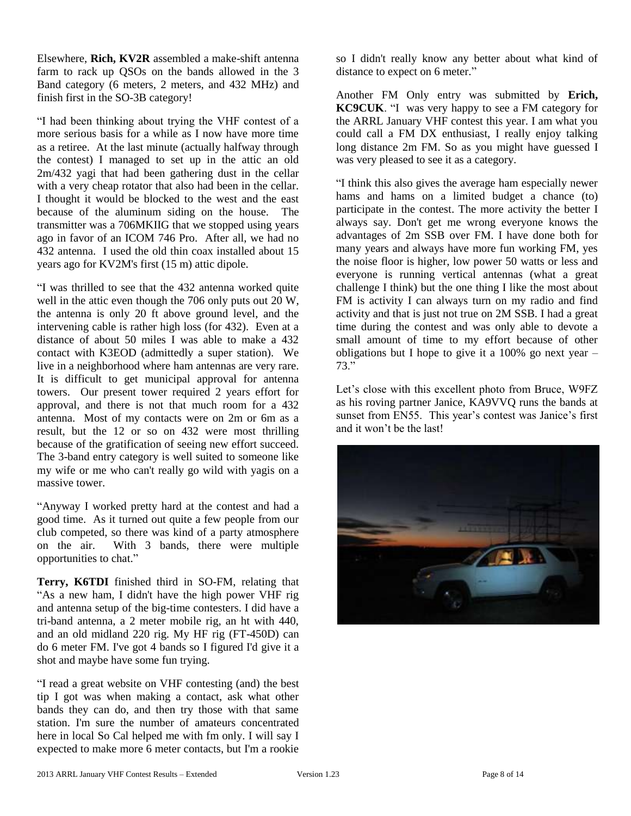Elsewhere, **Rich, KV2R** assembled a make-shift antenna farm to rack up QSOs on the bands allowed in the 3 Band category (6 meters, 2 meters, and 432 MHz) and finish first in the SO-3B category!

"I had been thinking about trying the VHF contest of a more serious basis for a while as I now have more time as a retiree. At the last minute (actually halfway through the contest) I managed to set up in the attic an old 2m/432 yagi that had been gathering dust in the cellar with a very cheap rotator that also had been in the cellar. I thought it would be blocked to the west and the east because of the aluminum siding on the house. The transmitter was a 706MKIIG that we stopped using years ago in favor of an ICOM 746 Pro. After all, we had no 432 antenna. I used the old thin coax installed about 15 years ago for KV2M's first (15 m) attic dipole.

"I was thrilled to see that the 432 antenna worked quite well in the attic even though the 706 only puts out 20 W, the antenna is only 20 ft above ground level, and the intervening cable is rather high loss (for 432). Even at a distance of about 50 miles I was able to make a 432 contact with K3EOD (admittedly a super station). We live in a neighborhood where ham antennas are very rare. It is difficult to get municipal approval for antenna towers. Our present tower required 2 years effort for approval, and there is not that much room for a 432 antenna. Most of my contacts were on 2m or 6m as a result, but the 12 or so on 432 were most thrilling because of the gratification of seeing new effort succeed. The 3-band entry category is well suited to someone like my wife or me who can't really go wild with yagis on a massive tower.

"Anyway I worked pretty hard at the contest and had a good time. As it turned out quite a few people from our club competed, so there was kind of a party atmosphere on the air. With 3 bands, there were multiple opportunities to chat."

**Terry, K6TDI** finished third in SO-FM, relating that "As a new ham, I didn't have the high power VHF rig and antenna setup of the big-time contesters. I did have a tri-band antenna, a 2 meter mobile rig, an ht with 440, and an old midland 220 rig. My HF rig (FT-450D) can do 6 meter FM. I've got 4 bands so I figured I'd give it a shot and maybe have some fun trying.

"I read a great website on VHF contesting (and) the best tip I got was when making a contact, ask what other bands they can do, and then try those with that same station. I'm sure the number of amateurs concentrated here in local So Cal helped me with fm only. I will say I expected to make more 6 meter contacts, but I'm a rookie

so I didn't really know any better about what kind of distance to expect on 6 meter."

Another FM Only entry was submitted by **Erich, KC9CUK**. "I was very happy to see a FM category for the ARRL January VHF contest this year. I am what you could call a FM DX enthusiast, I really enjoy talking long distance 2m FM. So as you might have guessed I was very pleased to see it as a category.

"I think this also gives the average ham especially newer hams and hams on a limited budget a chance (to) participate in the contest. The more activity the better I always say. Don't get me wrong everyone knows the advantages of 2m SSB over FM. I have done both for many years and always have more fun working FM, yes the noise floor is higher, low power 50 watts or less and everyone is running vertical antennas (what a great challenge I think) but the one thing I like the most about FM is activity I can always turn on my radio and find activity and that is just not true on 2M SSB. I had a great time during the contest and was only able to devote a small amount of time to my effort because of other obligations but I hope to give it a  $100\%$  go next year – 73."

Let's close with this excellent photo from Bruce, W9FZ as his roving partner Janice, KA9VVQ runs the bands at sunset from EN55. This year's contest was Janice's first and it won't be the last!

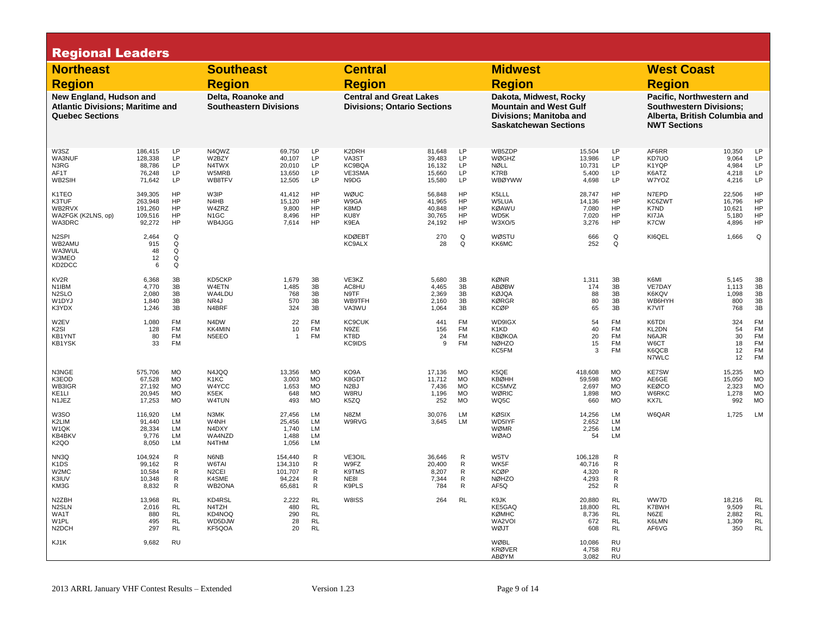| <b>Regional Leaders</b>                                                                      |                                                    |                                                               |                                                        |                                                   |                                                                   |                                                    |                                                                      |                                                                   |                                                                            |                                                                                                                    |                                                               |                                                   |                                                                                                                     |                                                  |
|----------------------------------------------------------------------------------------------|----------------------------------------------------|---------------------------------------------------------------|--------------------------------------------------------|---------------------------------------------------|-------------------------------------------------------------------|----------------------------------------------------|----------------------------------------------------------------------|-------------------------------------------------------------------|----------------------------------------------------------------------------|--------------------------------------------------------------------------------------------------------------------|---------------------------------------------------------------|---------------------------------------------------|---------------------------------------------------------------------------------------------------------------------|--------------------------------------------------|
| <b>Northeast</b>                                                                             |                                                    |                                                               | <b>Southeast</b>                                       |                                                   |                                                                   | <b>Central</b>                                     |                                                                      |                                                                   | <b>Midwest</b>                                                             |                                                                                                                    |                                                               | <b>West Coast</b>                                 |                                                                                                                     |                                                  |
| <b>Region</b>                                                                                |                                                    |                                                               | <b>Region</b>                                          |                                                   |                                                                   | <b>Region</b>                                      |                                                                      |                                                                   | <b>Region</b>                                                              |                                                                                                                    |                                                               | <b>Region</b>                                     |                                                                                                                     |                                                  |
| New England, Hudson and<br><b>Atlantic Divisions; Maritime and</b><br><b>Quebec Sections</b> |                                                    |                                                               | Delta, Roanoke and                                     | <b>Southeastern Divisions</b>                     |                                                                   |                                                    | <b>Central and Great Lakes</b><br><b>Divisions: Ontario Sections</b> |                                                                   |                                                                            | Dakota, Midwest, Rocky<br><b>Mountain and West Gulf</b><br>Divisions: Manitoba and<br><b>Saskatchewan Sections</b> |                                                               |                                                   | Pacific, Northwestern and<br><b>Southwestern Divisions:</b><br>Alberta, British Columbia and<br><b>NWT Sections</b> |                                                  |
| W3SZ<br>WA3NUF<br>N3RG<br>AF1T<br>WB2SIH                                                     | 186,415<br>128,338<br>88,786<br>76,248<br>71,642   | LP<br>LP<br><b>LP</b><br><b>LP</b><br>LP                      | N4QWZ<br>W2BZY<br>N4TWX<br>W5MRB<br>WB8TFV             | 69,750<br>40,107<br>20,010<br>13,650<br>12,505    | LP<br>LP<br>LP<br>LP<br>LP                                        | K2DRH<br>VA3ST<br>KC9BQA<br>VE3SMA<br>N9DG         | 81,648<br>39,483<br>16,132<br>15,660<br>15,580                       | LP<br>LP<br>LP<br>LP<br>LP                                        | WB5ZDP<br>WØGHZ<br>NØLL<br>K7RB<br><b>WBØYWW</b>                           | 15,504<br>13,986<br>10,731<br>5,400<br>4,698                                                                       | LP<br><b>LP</b><br>LP.<br>LP.<br>LP                           | AF6RR<br>KD7UO<br>K1YQP<br>K6ATZ<br>W7YOZ         | 10,350<br>9,064<br>4.984<br>4,218<br>4,216                                                                          | LP<br><b>LP</b><br><b>LP</b><br>LP<br>LP         |
| K1TEO<br>K3TUF<br>WB2RVX<br>WA2FGK (K2LNS, op)<br>WA3DRC                                     | 349,305<br>263,948<br>191,260<br>109,516<br>92,272 | HP<br>HP<br>HP<br>HP<br>HP                                    | W3IP<br>N4HB<br>W4ZRZ<br>N <sub>1</sub> GC<br>WB4JGG   | 41,412<br>15,120<br>9,800<br>8,496<br>7,614       | HP<br>HP<br>HP<br><b>HP</b><br><b>HP</b>                          | WØUC<br>W9GA<br>K8MD<br>KU8Y<br>K9EA               | 56,848<br>41,965<br>40,848<br>30,765<br>24,192                       | HP<br>HP<br>HP<br>HP<br>HP                                        | K5LLL<br>W5LUA<br><b>KØAWU</b><br>WD5K<br>W3XO/5                           | 28,747<br>14,136<br>7,080<br>7,020<br>3,276                                                                        | <b>HP</b><br>HP<br><b>HP</b><br><b>HP</b><br><b>HP</b>        | N7EPD<br>KC6ZWT<br>K7ND<br>KI7JA<br>K7CW          | 22,506<br>16,796<br>10,621<br>5,180<br>4,896                                                                        | HP<br>HP<br>HP<br>HP<br>HP                       |
| N <sub>2</sub> SPI<br>WB2AMU<br>WA3WUL<br>W3MEO<br>KD2DCC                                    | 2,464<br>915<br>48<br>12<br>6                      | Q<br>Q<br>Q<br>Q<br>Q                                         |                                                        |                                                   |                                                                   | <b>KDØEBT</b><br><b>KC9ALX</b>                     | 270<br>28                                                            | Q<br>Q                                                            | WØSTU<br>KK6MC                                                             | 666<br>252                                                                                                         | Q<br>Q                                                        | KI6QEL                                            | 1,666                                                                                                               | Q                                                |
| KV <sub>2R</sub><br>N <sub>1</sub> IBM<br>N <sub>2</sub> SLO<br>W1DYJ<br>K3YDX               | 6,368<br>4.770<br>2,080<br>1,840<br>1,246          | 3B<br>3B<br>3B<br>3B<br>3B                                    | KD5CKP<br>W4ETN<br>WA4LDU<br>NR4J<br>N4BRF             | 1,679<br>1.485<br>768<br>570<br>324               | 3B<br>3B<br>3B<br>3B<br>3B                                        | VE3KZ<br>AC8HU<br>N9TF<br>WB9TFH<br>VA3WU          | 5,680<br>4.465<br>2,369<br>2,160<br>1,064                            | 3B<br>3B<br>3B<br>3B<br>3B                                        | <b>KØNR</b><br><b>ABØBW</b><br><b>KØJQA</b><br><b>KØRGR</b><br><b>KCØP</b> | 1,311<br>174<br>88<br>80<br>65                                                                                     | 3B<br>3B<br>3B<br>3B<br>3B                                    | K6MI<br>VE7DAY<br>K6KQV<br>WB6HYH<br>K7VIT        | 5,145<br>1.113<br>1,098<br>800<br>768                                                                               | 3B<br>3B<br>3B<br>3B<br>3B                       |
| W2EV<br>K <sub>2</sub> SI<br>KB1YNT<br><b>KB1YSK</b>                                         | 1,080<br>128<br>80<br>33                           | <b>FM</b><br><b>FM</b><br><b>FM</b><br><b>FM</b>              | N <sub>4</sub> D <sub>W</sub><br>KK4MIN<br>N5EEO       | 22<br>10<br>$\mathbf{1}$                          | <b>FM</b><br>FM<br><b>FM</b>                                      | <b>KC9CUK</b><br>N9ZE<br>KT8D<br><b>KC9IDS</b>     | 441<br>156<br>24<br>9                                                | <b>FM</b><br><b>FM</b><br><b>FM</b><br><b>FM</b>                  | WD9IGX<br>K1KD<br><b>KBØKOA</b><br><b>NØHZO</b><br>KC5FM                   | 54<br>40<br>20<br>15<br>3                                                                                          | <b>FM</b><br><b>FM</b><br><b>FM</b><br>FM<br><b>FM</b>        | K6TDI<br>KL2DN<br>N6AJR<br>W6CT<br>K6QCB<br>N7WLC | 324<br>54<br>30<br>18<br>12<br>12                                                                                   | <b>FM</b><br>FM<br>FM<br>FM<br>FM<br>FM          |
| N3NGE<br>K3EOD<br>WB3IGR<br>KE <sub>1</sub> LI<br>N1JEZ                                      | 575,706<br>67,528<br>27,192<br>20,945<br>17,253    | <b>MO</b><br><b>MO</b><br><b>MO</b><br><b>MO</b><br><b>MO</b> | N4JQQ<br>K1KC<br>W4YCC<br>K5EK<br>W4TUN                | 13,356<br>3,003<br>1,653<br>648<br>493            | <b>MO</b><br><b>MO</b><br><b>MO</b><br><b>MO</b><br><b>MO</b>     | KO9A<br>K8GDT<br>N <sub>2</sub> BJ<br>W8RU<br>K5ZQ | 17,136<br>11,712<br>7,436<br>1,196<br>252                            | <b>MO</b><br><b>MO</b><br><b>MO</b><br><b>MO</b><br><b>MO</b>     | K5QE<br><b>KBØHH</b><br>KC5MVZ<br>WØRIC<br>WQ5C                            | 418,608<br>59,598<br>2,697<br>1,898<br>660                                                                         | <b>MO</b><br><b>MO</b><br><b>MO</b><br><b>MO</b><br><b>MO</b> | <b>KE7SW</b><br>AE6GE<br>KEØCO<br>W6RKC<br>KX7L   | 15,235<br>15,050<br>2,323<br>1,278<br>992                                                                           | MO<br><b>MO</b><br>MO<br>MO<br><b>MO</b>         |
| W3SO<br>K2LIM<br>W <sub>1</sub> QK<br>KB4BKV<br>K <sub>2</sub> QO                            | 116,920<br>91,440<br>28,334<br>9,776<br>8,050      | LM<br>LM<br><b>LM</b><br>LM<br>LM                             | N3MK<br>W4NH<br>N4DXY<br>WA4NZD<br>N4THM               | 27,456<br>25,456<br>1,740<br>1,488<br>1,056       | LM<br>LM<br>LM<br>LM<br>LM                                        | N8ZM<br>W9RVG                                      | 30,076<br>3,645                                                      | LM<br>LM                                                          | <b>KØSIX</b><br>WD5IYF<br>WØMR<br><b>WØAO</b>                              | 14,256<br>2,652<br>2,256<br>54                                                                                     | LM<br>LM<br>LM<br>LM                                          | W6QAR                                             | 1,725                                                                                                               | LM                                               |
| NN3Q<br>K <sub>1</sub> D <sub>S</sub><br>W2MC<br>K3IUV<br>KM3G                               | 104,924<br>99,162<br>10,584<br>10,348<br>8,832     | R<br>R<br>R<br>R<br>R                                         | N6NB<br>W6TAI<br>N <sub>2</sub> CEI<br>K4SME<br>WB2ONA | 154,440<br>134.310<br>101,707<br>94,224<br>65,681 | $\mathsf{R}$<br>R<br>$\mathsf{R}$<br>$\mathsf{R}$<br>$\mathsf{R}$ | VE3OIL<br>W9FZ<br>K9TMS<br>NE8I<br>K9PLS           | 36,646<br>20.400<br>8,207<br>7,344<br>784                            | $\mathsf{R}$<br>$\mathsf{R}$<br>$\mathsf{R}$<br>$\mathsf{R}$<br>R | W5TV<br>WK5F<br><b>KCØP</b><br><b>NØHZO</b><br>AF5Q                        | 106,128<br>40,716<br>4,320<br>4,293<br>252                                                                         | $\mathsf{R}$<br>R<br>R<br>R<br>$\mathsf{R}$                   |                                                   |                                                                                                                     |                                                  |
| N2ZBH<br>N <sub>2</sub> SLN<br>WA1T<br>W <sub>1</sub> PL<br>N <sub>2</sub> DCH               | 13,968<br>2,016<br>880<br>495<br>297               | RL<br><b>RL</b><br><b>RL</b><br><b>RL</b><br><b>RL</b>        | KD4RSL<br>N4TZH<br>KD4NOQ<br>WD5DJW<br>KF5QOA          | 2,222<br>480<br>290<br>28<br>20                   | <b>RL</b><br><b>RL</b><br><b>RL</b><br><b>RL</b><br><b>RL</b>     | W8ISS                                              | 264                                                                  | <b>RL</b>                                                         | K9JK<br>KE5GAQ<br><b>KØMHC</b><br>WA2VOI<br>WØJT                           | 20,880<br>18,800<br>8,736<br>672<br>608                                                                            | <b>RL</b><br><b>RL</b><br><b>RL</b><br><b>RL</b><br><b>RL</b> | WW7D<br>K7BWH<br>N6ZE<br>K6LMN<br>AF6VG           | 18,216<br>9,509<br>2,882<br>1,309<br>350                                                                            | RL<br>$\mathsf{RL}$<br>$\mathsf{RL}$<br>RL<br>RL |
| KJ1K                                                                                         | 9,682                                              | <b>RU</b>                                                     |                                                        |                                                   |                                                                   |                                                    |                                                                      |                                                                   | WØBL<br><b>KRØVER</b><br><b>ABØYM</b>                                      | 10,086<br>4,758<br>3,082                                                                                           | <b>RU</b><br><b>RU</b><br><b>RU</b>                           |                                                   |                                                                                                                     |                                                  |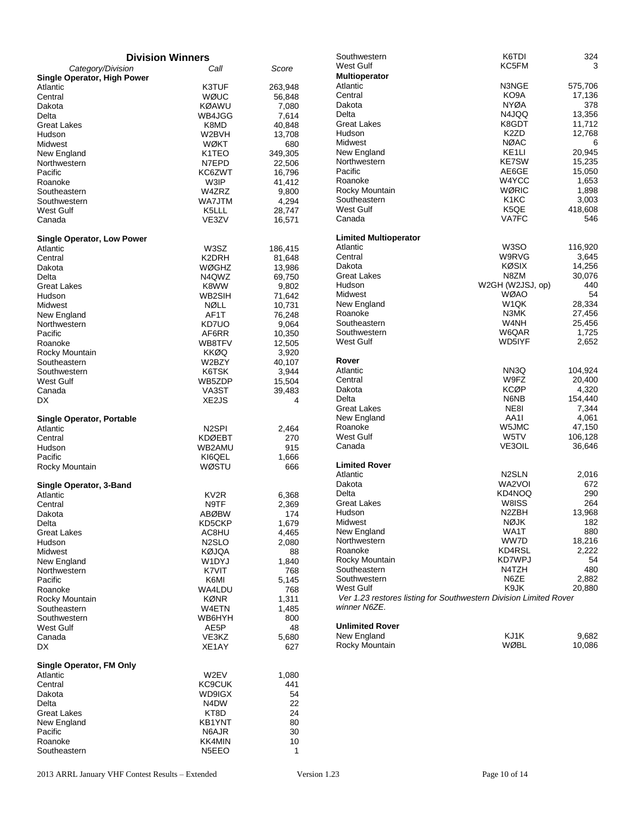| <b>Division Winners</b>           |                             |                   |
|-----------------------------------|-----------------------------|-------------------|
| Category/Division                 | Call                        | Score             |
| Single Operator, High Power       |                             |                   |
| Atlantic                          | K3TUF                       | 263,948           |
| Central<br>Dakota                 | WØUC<br>KØAWU               | 56,848<br>7,080   |
| Delta                             | WB4JGG                      | 7,614             |
| Great Lakes                       | K8MD                        | 40,848            |
| Hudson                            | W2BVH                       | 13,708            |
| Midwest                           | WØKT                        | 680               |
| New England<br>Northwestern       | K1TEO<br>N7EPD              | 349,305<br>22,506 |
| Pacific                           | KC6ZWT                      | 16,796            |
| Roanoke                           | W3IP                        | 41,412            |
| Southeastern                      | W4ZRZ                       | 9,800             |
| Southwestern                      | WA7JTM                      | 4,294             |
| West Gulf                         | K5LLL                       | 28,747            |
| Canada                            | VE3ZV                       | 16,571            |
| <b>Single Operator, Low Power</b> |                             |                   |
| Atlantic                          | W3SZ                        | 186,415           |
| Central                           | K2DRH                       | 81,648            |
| Dakota                            | WØGHZ                       | 13,986            |
| Delta                             | N4QWZ                       | 69,750            |
| Great Lakes                       | K8WW                        | 9,802             |
| Hudson<br>Midwest                 | WB2SIH<br>NØLL              | 71,642<br>10,731  |
| New England                       | AF1T                        | 76,248            |
| Northwestern                      | KD7UO                       | 9,064             |
| Pacific                           | AF6RR                       | 10,350            |
| Roanoke                           | WB8TFV                      | 12,505            |
| Rocky Mountain                    | KKØQ                        | 3,920             |
| Southeastern<br>Southwestern      | W2BZY<br>K6TSK              | 40,107<br>3,944   |
| West Gulf                         | WB5ZDP                      | 15,504            |
| Canada                            | VA3ST                       | 39,483            |
| DX                                | XE <sub>2</sub> JS          | 4                 |
| <b>Single Operator, Portable</b>  |                             |                   |
| Atlantic                          | N2SPI                       | 2,464             |
| Central                           | KDØEBT                      | 270               |
| Hudson                            | WB2AMU                      | 915               |
| Pacific                           | KI6QEL                      | 1,666             |
| Rocky Mountain                    | WØSTU                       | 666               |
| Single Operator, 3-Band           |                             |                   |
| Atlantic                          | KV2R                        | 6,368             |
| Central                           | N9TF                        | 2,369             |
| Dakota                            | <b>ABØBW</b>                | 174               |
| Delta                             | KD5CKP                      | 1,679             |
| <b>Great Lakes</b><br>Hudson      | AC8HU<br>N <sub>2</sub> SLO | 4,465<br>2,080    |
| Midwest                           | KØJQA                       | 88                |
| New England                       | W1DYJ                       | 1,840             |
| Northwestern                      | K7VIT                       | 768               |
| Pacific                           | K6MI                        | 5,145             |
| Roanoke                           | WA4LDU                      | 768               |
| Rocky Mountain<br>Southeastern    | KØNR<br>W4ETN               | 1,311<br>1,485    |
| Southwestern                      | WB6HYH                      | 800               |
| West Gulf                         | AE5P                        | 48                |
| Canada                            | VE3KZ                       | 5,680             |
| DX                                | XE1AY                       | 627               |
| Single Operator, FM Only          |                             |                   |
| Atlantic                          | W2EV                        | 1,080             |
| Central                           | <b>KC9CUK</b>               | 441               |
| Dakota                            | WD9IGX                      | 54                |
| Delta                             | N4DW                        | 22                |
| <b>Great Lakes</b><br>New England | KT8D<br>KB1YNT              | 24<br>80          |
| Pacific                           | N6AJR                       | 30                |
| Roanoke                           | KK4MIN                      | 10                |
| Southeastern                      | N <sub>5</sub> EO           | 1                 |

| Southwestern<br>West Gulf<br>Multioperator                        | K6TDI<br>KC5FM     | 324<br>3 |
|-------------------------------------------------------------------|--------------------|----------|
| Atlantic                                                          | N3NGE              |          |
| Central                                                           |                    | 575,706  |
| Dakota                                                            | KO9A               | 17,136   |
|                                                                   | NYØA               | 378      |
| Delta                                                             | N4JQQ              | 13,356   |
| Great Lakes                                                       | K8GDT              | 11,712   |
| Hudson                                                            | K2ZD               | 12,768   |
| Midwest                                                           | <b>NØAC</b>        | 6        |
| New England                                                       | KE <sub>1</sub> LI | 20,945   |
| Northwestern                                                      | <b>KE7SW</b>       | 15,235   |
| Pacific                                                           | AE6GE              | 15,050   |
| Roanoke                                                           | W4YCC              | 1,653    |
| Rocky Mountain                                                    | WØRIC              | 1,898    |
| Southeastern                                                      | K1KC               | 3,003    |
| West Gulf                                                         | K5QE               | 418,608  |
| Canada                                                            | VA7FC              | 546      |
| <b>Limited Multioperator</b>                                      |                    |          |
| Atlantic                                                          | W3SO               | 116,920  |
| Central                                                           | W9RVG              | 3,645    |
| Dakota                                                            | KØSIX              | 14,256   |
| Great Lakes                                                       | N8ZM               | 30,076   |
| Hudson                                                            | W2GH (W2JSJ, op)   | 440      |
| Midwest                                                           | WØAO               | 54       |
| New England                                                       | W1QK               | 28,334   |
| Roanoke                                                           | N3MK               | 27,456   |
| Southeastern                                                      | W4NH               | 25,456   |
| Southwestern                                                      | W6QAR              | 1,725    |
| West Gulf                                                         | WD5IYF             | 2,652    |
|                                                                   |                    |          |
| Rover                                                             |                    |          |
| Atlantic                                                          | NN3Q               | 104,924  |
| Central                                                           | W9FZ               | 20,400   |
| Dakota                                                            | KCØP               | 4,320    |
| Delta                                                             | N6NB               | 154,440  |
| Great Lakes                                                       | NE8I               | 7,344    |
| New England                                                       | AA1I               | 4,061    |
| Roanoke                                                           | W5JMC              | 47,150   |
| West Gulf                                                         | W5TV               | 106,128  |
| Canada                                                            | VE3OIL             | 36,646   |
|                                                                   |                    |          |
| <b>Limited Rover</b>                                              |                    |          |
| Atlantic                                                          | N2SLN              | 2,016    |
| Dakota                                                            | WA2VOI             | 672      |
| Delta                                                             | KD4NOQ             | 290      |
| Great Lakes                                                       | W8ISS              | 264      |
| Hudson                                                            | N2ZBH              | 13,968   |
| Midwest                                                           | NØJK               | 182      |
| New England                                                       | WA1T               | 880      |
| Northwestern                                                      | WW7D               | 18,216   |
| Roanoke                                                           | KD4RSL             | 2,222    |
| Rocky Mountain                                                    | KD7WPJ             | 54       |
| Southeastern                                                      | N4TZH              | 480      |
| Southwestern                                                      | N6ZE               | 2,882    |
| West Gulf                                                         | K9JK               | 20,880   |
| Ver 1.23 restores listing for Southwestern Division Limited Rover |                    |          |
| winner N6ZE.                                                      |                    |          |
| <b>Unlimited Rover</b>                                            |                    |          |
| New England                                                       | KJ1K               | 9,682    |
| Rocky Mountain                                                    | WØBL               | 10,086   |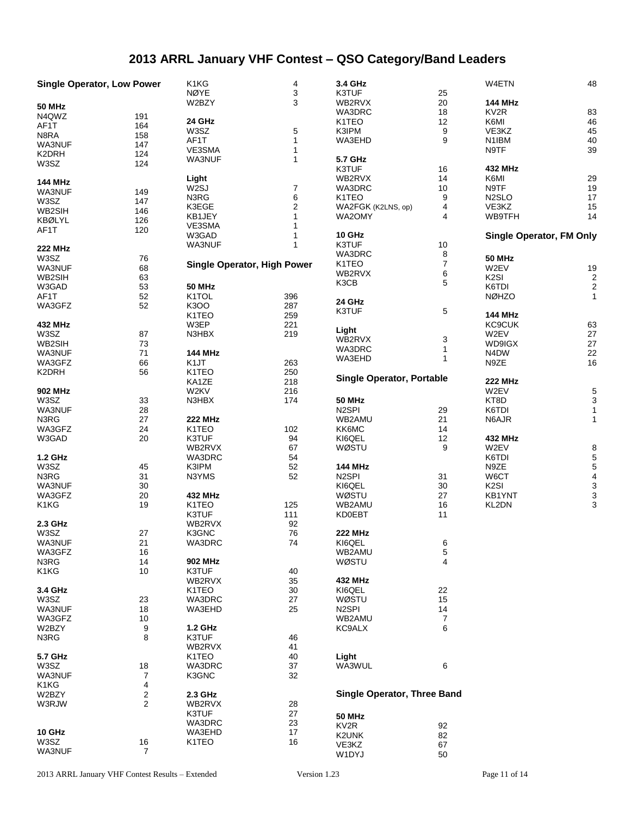# **2013 ARRL January VHF Contest – QSO Category/Band Leaders**

| <b>Single Operator, Low Power</b> |                         | K1KG                               | 4              | 3.4 GHz                            |                         | W4ETN                           | 48                      |
|-----------------------------------|-------------------------|------------------------------------|----------------|------------------------------------|-------------------------|---------------------------------|-------------------------|
|                                   |                         | <b>NØYE</b>                        | 3              | K3TUF                              | 25                      |                                 |                         |
| <b>50 MHz</b>                     |                         | W2BZY                              | 3              | WB2RVX                             | 20                      | <b>144 MHz</b>                  |                         |
|                                   |                         |                                    |                | WA3DRC                             | 18                      | KV <sub>2R</sub>                | 83                      |
| N4QWZ                             | 191                     | 24 GHz                             |                | K1TEO                              | 12                      | K6MI                            | 46                      |
| AF1T                              | 164                     | W3SZ                               | 5              | K3IPM                              | 9                       | VE3KZ                           | 45                      |
| N8RA                              | 158                     | AF1T                               |                | WA3EHD                             | 9                       | N1IBM                           | 40                      |
| WA3NUF                            | 147                     |                                    |                |                                    |                         |                                 |                         |
| K2DRH                             | 124                     | VE3SMA                             | 1              |                                    |                         | N9TF                            | 39                      |
| W3SZ                              | 124                     | WA3NUF                             | 1              | 5.7 GHz                            |                         |                                 |                         |
|                                   |                         |                                    |                | K3TUF                              | 16                      | 432 MHz                         |                         |
| <b>144 MHz</b>                    |                         | Light                              |                | WB2RVX                             | 14                      | K6MI                            | 29                      |
|                                   |                         | W2SJ                               | $\overline{7}$ | WA3DRC                             | 10                      | N9TF                            | 19                      |
| WA3NUF                            | 149                     | N3RG                               | 6              | K1TEO                              | 9                       | N <sub>2</sub> SLO              | 17                      |
| W3SZ                              | 147                     | K3EGE                              | $\overline{c}$ | WA2FGK (K2LNS, op)                 | 4                       | VE3KZ                           | 15                      |
| WB2SIH                            | 146                     |                                    |                |                                    |                         |                                 |                         |
| <b>KBØLYL</b>                     | 126                     | KB1JEY                             |                | WA2OMY                             | 4                       | WB9TFH                          | 14                      |
| AF1T                              | 120                     | VE3SMA                             |                |                                    |                         |                                 |                         |
|                                   |                         | W3GAD                              |                | <b>10 GHz</b>                      |                         | <b>Single Operator, FM Only</b> |                         |
| <b>222 MHz</b>                    |                         | WA3NUF                             | 1              | K3TUF                              | 10                      |                                 |                         |
|                                   |                         |                                    |                | WA3DRC                             | 8                       |                                 |                         |
| W3SZ                              | 76                      | <b>Single Operator, High Power</b> |                | K1TEO                              | $\overline{\mathbf{7}}$ | <b>50 MHz</b>                   |                         |
| WA3NUF                            | 68                      |                                    |                | WB2RVX                             | 6                       | W2EV                            | 19                      |
| WB2SIH                            | 63                      |                                    |                | K3CB                               | 5                       | K <sub>2</sub> SI               | $\overline{\mathbf{c}}$ |
| W3GAD                             | 53                      | <b>50 MHz</b>                      |                |                                    |                         | K6TDI                           | $\overline{\mathbf{c}}$ |
| AF1T                              | 52                      | K1TOL                              | 396            |                                    |                         | <b>NØHZO</b>                    | 1                       |
| WA3GFZ                            | 52                      | K3OO                               | 287            | 24 GHz                             |                         |                                 |                         |
|                                   |                         | K1TEO                              | 259            | K3TUF                              | 5                       | <b>144 MHz</b>                  |                         |
|                                   |                         |                                    |                |                                    |                         |                                 |                         |
| 432 MHz                           |                         | W3EP                               | 221            | Light                              |                         | <b>KC9CUK</b>                   | 63                      |
| W3SZ                              | 87                      | N3HBX                              | 219            | WB2RVX                             | 3                       | W2EV                            | 27                      |
| WB2SIH                            | 73                      |                                    |                | WA3DRC                             | 1                       | WD9IGX                          | 27                      |
| WA3NUF                            | 71                      | <b>144 MHz</b>                     |                |                                    |                         | N4DW                            | 22                      |
| WA3GFZ                            | 66                      | K <sub>1</sub> JT                  | 263            | WA3EHD                             | 1                       | N9ZE                            | 16                      |
| K2DRH                             | 56                      | K1TEO                              | 250            |                                    |                         |                                 |                         |
|                                   |                         | KA1ZE                              | 218            | <b>Single Operator, Portable</b>   |                         | <b>222 MHz</b>                  |                         |
| 902 MHz                           |                         |                                    |                |                                    |                         |                                 |                         |
|                                   |                         | W2KV                               | 216            |                                    |                         | W2EV                            | 5                       |
| W3SZ                              | 33                      | N3HBX                              | 174            | <b>50 MHz</b>                      |                         | KT8D                            | 3                       |
| WA3NUF                            | 28                      |                                    |                | N <sub>2</sub> SPI                 | 29                      | K6TDI                           | 1                       |
| N3RG                              | 27                      | <b>222 MHz</b>                     |                | WB2AMU                             | 21                      | N6AJR                           | 1                       |
| WA3GFZ                            | 24                      | K1TEO                              | 102            | KK6MC                              | 14                      |                                 |                         |
| W3GAD                             | 20                      | K3TUF                              | 94             | KI6QEL                             | 12                      | 432 MHz                         |                         |
|                                   |                         | WB2RVX                             | 67             | WØSTU                              | 9                       | W2EV                            | 8                       |
|                                   |                         |                                    |                |                                    |                         | K6TDI                           |                         |
| 1.2 GHz                           |                         | WA3DRC                             | 54             |                                    |                         |                                 | 5                       |
| W3SZ                              | 45                      | K3IPM                              | 52             | <b>144 MHz</b>                     |                         | N9ZE                            | 5                       |
| N3RG                              | 31                      | N3YMS                              | 52             | N <sub>2</sub> SPI                 | 31                      | W6CT                            | 4                       |
| WA3NUF                            | 30                      |                                    |                | KI6QEL                             | 30                      | K <sub>2</sub> SI               | 3                       |
| WA3GFZ                            | 20                      | 432 MHz                            |                | WØSTU                              | 27                      | KB1YNT                          | 3                       |
| K1KG                              | 19                      | K <sub>1</sub> T <sub>E</sub> O    | 125            | WB2AMU                             | 16                      | KL2DN                           | 3                       |
|                                   |                         | K3TUF                              | 111            | <b>KD0EBT</b>                      | 11                      |                                 |                         |
| 2.3 GHz                           |                         |                                    |                |                                    |                         |                                 |                         |
|                                   |                         | WB2RVX                             | 92             |                                    |                         |                                 |                         |
| W3SZ                              | 27                      | K3GNC                              | 76             | <b>222 MHz</b>                     |                         |                                 |                         |
| WA3NUF                            | 21                      | WA3DRC                             | 74             | KI6QEL                             | 6                       |                                 |                         |
| WA3GFZ                            | 16                      |                                    |                | WB2AMU                             | 5                       |                                 |                         |
| N3RG                              | 14                      | 902 MHz                            |                | WØSTU                              | 4                       |                                 |                         |
| K1KG                              | 10                      | K3TUF                              | 40             |                                    |                         |                                 |                         |
|                                   |                         | WB2RVX                             | 35             | 432 MHz                            |                         |                                 |                         |
|                                   |                         |                                    |                |                                    |                         |                                 |                         |
| 3.4 GHz                           |                         | K1TEO                              | 30             | KI6QEL                             | 22                      |                                 |                         |
| W3SZ                              | 23                      | WA3DRC                             | 27             | WØSTU                              | 15                      |                                 |                         |
| WA3NUF                            | 18                      | WA3EHD                             | 25             | N <sub>2</sub> SPI                 | 14                      |                                 |                         |
| WA3GFZ                            | 10                      |                                    |                | WB2AMU                             | 7                       |                                 |                         |
| W2BZY                             | 9                       | 1.2 GHz                            |                | <b>KC9ALX</b>                      | 6                       |                                 |                         |
| N3RG                              | 8                       | K3TUF                              | 46             |                                    |                         |                                 |                         |
|                                   |                         | WB2RVX                             | 41             |                                    |                         |                                 |                         |
|                                   |                         |                                    |                |                                    |                         |                                 |                         |
| 5.7 GHz                           |                         | K1TEO                              | 40             | Light                              |                         |                                 |                         |
| W3SZ                              | 18                      | WA3DRC                             | 37             | WA3WUL                             | 6                       |                                 |                         |
| WA3NUF                            | $\overline{7}$          | K3GNC                              | 32             |                                    |                         |                                 |                         |
| K1KG                              | 4                       |                                    |                |                                    |                         |                                 |                         |
| W2BZY                             | $\overline{\mathbf{c}}$ | 2.3 GHz                            |                | <b>Single Operator, Three Band</b> |                         |                                 |                         |
| W3RJW                             | $\overline{2}$          | WB2RVX                             | 28             |                                    |                         |                                 |                         |
|                                   |                         | K3TUF                              | 27             |                                    |                         |                                 |                         |
|                                   |                         |                                    |                | <b>50 MHz</b>                      |                         |                                 |                         |
|                                   |                         | WA3DRC                             | 23             | KV <sub>2R</sub>                   | 92                      |                                 |                         |
| 10 GHz                            |                         | WA3EHD                             | 17             | K2UNK                              | 82                      |                                 |                         |
| W3SZ                              | 16                      | K1TEO                              | 16             | VE3KZ                              | 67                      |                                 |                         |
| WA3NUF                            | $\boldsymbol{7}$        |                                    |                | W1DYJ                              | 50                      |                                 |                         |
|                                   |                         |                                    |                |                                    |                         |                                 |                         |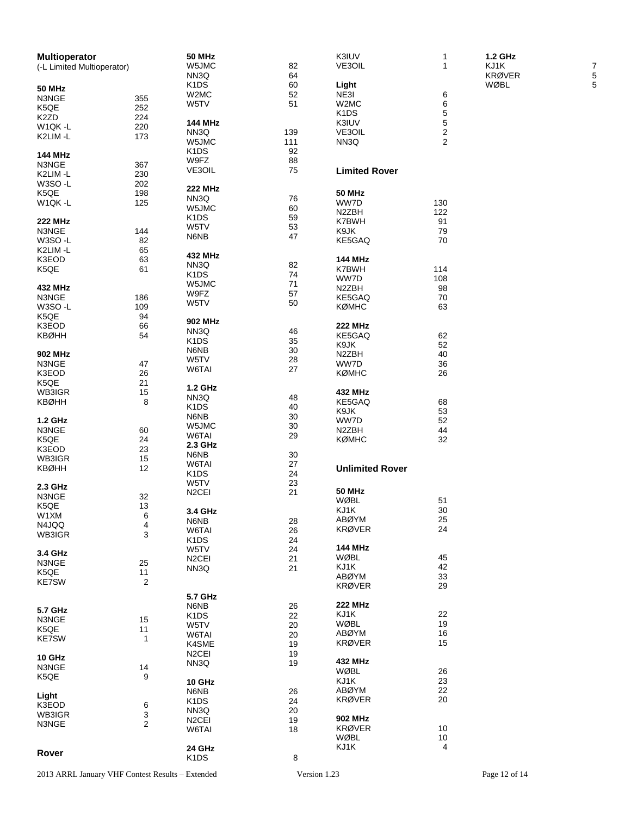| <b>Multioperator</b>       |                         | <b>50 MHz</b>                 |     | K3IUV                         | 1              | 1.2 GHz       |
|----------------------------|-------------------------|-------------------------------|-----|-------------------------------|----------------|---------------|
| (-L Limited Multioperator) |                         | W5JMC                         | 82  | VE3OIL                        | $\mathbf{1}$   | KJ1K          |
|                            |                         | NN3Q                          | 64  |                               |                | <b>KRØVER</b> |
|                            |                         | K <sub>1</sub> DS             | 60  | Light                         |                | WØBL          |
| <b>50 MHz</b>              |                         |                               |     |                               |                |               |
| N3NGE                      | 355                     | W2MC                          | 52  | NE3I                          | 6              |               |
| K5QE                       | 252                     | W5TV                          | 51  | W2MC                          | 6              |               |
| K <sub>2</sub> ZD          | 224                     |                               |     | K <sub>1</sub> D <sub>S</sub> | 5              |               |
|                            |                         | <b>144 MHz</b>                |     | K3IUV                         | $\sqrt{5}$     |               |
| W1QK-L                     | 220                     | NN3Q                          | 139 | VE3OIL                        | $\overline{c}$ |               |
| K2LIM-L                    | 173                     | W5JMC                         | 111 | NN3Q                          | 2              |               |
|                            |                         |                               |     |                               |                |               |
| <b>144 MHz</b>             |                         | K <sub>1</sub> D <sub>S</sub> | 92  |                               |                |               |
| N3NGE                      | 367                     | W9FZ                          | 88  |                               |                |               |
|                            | 230                     | VE3OIL                        | 75  | <b>Limited Rover</b>          |                |               |
| K2LIM-L                    |                         |                               |     |                               |                |               |
| W3SO-L                     | 202                     | <b>222 MHz</b>                |     |                               |                |               |
| K5QE                       | 198                     | NN3Q                          |     | <b>50 MHz</b>                 |                |               |
| W1QK-L                     | 125                     |                               | 76  | WW7D                          | 130            |               |
|                            |                         | W5JMC                         | 60  | N2ZBH                         | 122            |               |
| <b>222 MHz</b>             |                         | K <sub>1</sub> DS             | 59  | K7BWH                         | 91             |               |
|                            | 144                     | W5TV                          | 53  | K9JK                          | 79             |               |
| N3NGE                      |                         | N6NB                          | 47  |                               |                |               |
| W3SO-L                     | 82                      |                               |     | KE5GAQ                        | 70             |               |
| K2LIM-L                    | 65                      |                               |     |                               |                |               |
| K3EOD                      | 63                      | 432 MHz                       |     | <b>144 MHz</b>                |                |               |
| K5QE                       | 61                      | NN3Q                          | 82  | K7BWH                         | 114            |               |
|                            |                         | K <sub>1</sub> D <sub>S</sub> | 74  | WW7D                          | 108            |               |
|                            |                         | W5JMC                         | 71  |                               |                |               |
| 432 MHz                    |                         | W9FZ                          | 57  | N <sub>2</sub> ZBH            | 98             |               |
| N3NGE                      | 186                     | W5TV                          | 50  | KE5GAQ                        | 70             |               |
| W3SO-L                     | 109                     |                               |     | <b>KØMHC</b>                  | 63             |               |
| K5QE                       | 94                      |                               |     |                               |                |               |
| K3EOD                      | 66                      | 902 MHz                       |     | 222 MHz                       |                |               |
| <b>KBØHH</b>               | 54                      | NN3Q                          | 46  | KE5GAQ                        | 62             |               |
|                            |                         | K <sub>1</sub> D <sub>S</sub> | 35  |                               |                |               |
|                            |                         | N6NB                          | 30  | K9JK                          | 52             |               |
| 902 MHz                    |                         | W5TV                          | 28  | N2ZBH                         | 40             |               |
| N3NGE                      | 47                      |                               |     | WW7D                          | 36             |               |
| K3EOD                      | 26                      | W6TAI                         | 27  | <b>KØMHC</b>                  | 26             |               |
| K5QE                       | 21                      |                               |     |                               |                |               |
| WB3IGR                     | 15                      | 1.2 GHz                       |     | 432 MHz                       |                |               |
|                            |                         | NN3Q                          | 48  |                               |                |               |
| <b>KBØHH</b>               | 8                       | K <sub>1</sub> D <sub>S</sub> | 40  | KE5GAQ                        | 68             |               |
|                            |                         | N6NB                          | 30  | K9JK                          | 53             |               |
| 1.2 GHz                    |                         |                               |     | WW7D                          | 52             |               |
| N3NGE                      | 60                      | W5JMC                         | 30  | N2ZBH                         | 44             |               |
| K5QE                       | 24                      | W6TAI                         | 29  | <b>KØMHC</b>                  | 32             |               |
|                            |                         | 2.3 GHz                       |     |                               |                |               |
| K3EOD                      | 23                      | N6NB                          | 30  |                               |                |               |
| WB3IGR                     | 15                      | W6TAI                         | 27  |                               |                |               |
| <b>KBØHH</b>               | 12                      |                               | 24  | <b>Unlimited Rover</b>        |                |               |
|                            |                         | K <sub>1</sub> D <sub>S</sub> |     |                               |                |               |
| 2.3 GHz                    |                         | W5TV                          | 23  |                               |                |               |
| N3NGE                      | 32                      | N <sub>2</sub> CEI            | 21  | <b>50 MHz</b>                 |                |               |
|                            |                         |                               |     | <b>WØBL</b>                   | 51             |               |
| K5QE                       | 13                      | 3.4 GHz                       |     | KJ1K                          | 30             |               |
| W1XM                       | 6                       | N6NB                          | 28  | ABØYM                         | 25             |               |
| N4JQQ                      | 4                       |                               |     | <b>KRØVER</b>                 | 24             |               |
| WB3IGR                     | 3                       | W6TAI                         | 26  |                               |                |               |
|                            |                         | K <sub>1</sub> D <sub>S</sub> | 24  |                               |                |               |
| 3.4 GHz                    |                         | W5TV                          | 24  | <b>144 MHz</b>                |                |               |
|                            |                         | N <sub>2</sub> CEI            | 21  | WØBL                          | 45             |               |
| N3NGE                      | 25                      | NN3Q                          | 21  | KJ1K                          | 42             |               |
| K5QE                       | 11                      |                               |     | ABØYM                         | 33             |               |
| <b>KE7SW</b>               | $\overline{\mathbf{c}}$ |                               |     | <b>KRØVER</b>                 | 29             |               |
|                            |                         |                               |     |                               |                |               |
|                            |                         | 5.7 GHz                       |     |                               |                |               |
| 5.7 GHz                    |                         | N6NB                          | 26  | <b>222 MHz</b>                |                |               |
|                            |                         | K <sub>1</sub> D <sub>S</sub> | 22  | KJ1K                          | 22             |               |
| N3NGE                      | 15                      | W5TV                          | 20  | WØBL                          | 19             |               |
| K5QE                       | 11                      | W6TAI                         | 20  | <b>ABØYM</b>                  | 16             |               |
| <b>KE7SW</b>               | 1                       |                               |     | <b>KRØVER</b>                 | 15             |               |
|                            |                         | K4SME                         | 19  |                               |                |               |
| 10 GHz                     |                         | N <sub>2</sub> CEI            | 19  |                               |                |               |
| N3NGE                      | 14                      | NN3Q                          | 19  | 432 MHz                       |                |               |
|                            |                         |                               |     | WØBL                          | 26             |               |
| K5QE                       | 9                       | 10 GHz                        |     | KJ1K                          | 23             |               |
|                            |                         | N6NB                          | 26  | <b>ABØYM</b>                  | 22             |               |
| Light                      |                         |                               |     | <b>KRØVER</b>                 | 20             |               |
| K3EOD                      | 6                       | K <sub>1</sub> D <sub>S</sub> | 24  |                               |                |               |
| WB3IGR                     | 3                       | NN3Q                          | 20  |                               |                |               |
|                            | 2                       | N <sub>2</sub> CEI            | 19  | 902 MHz                       |                |               |
| N3NGE                      |                         | W6TAI                         | 18  | <b>KRØVER</b>                 | 10             |               |
|                            |                         |                               |     | WØBL                          | 10             |               |
|                            |                         | 24 GHz                        |     | KJ1K                          | 4              |               |
| Rover                      |                         |                               |     |                               |                |               |
|                            |                         | K <sub>1</sub> DS             | 8   |                               |                |               |

7

5

5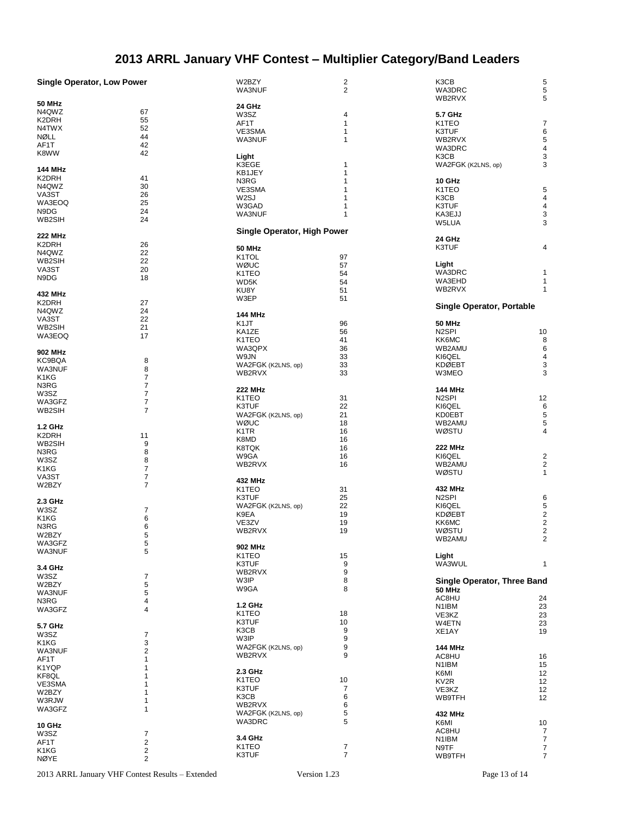# **2013 ARRL January VHF Contest – Multiplier Category/Band Leaders**

|                                   |                         | W2BZY                              |                         | K3CB                             |                         |
|-----------------------------------|-------------------------|------------------------------------|-------------------------|----------------------------------|-------------------------|
| <b>Single Operator, Low Power</b> |                         |                                    | $\overline{\mathbf{c}}$ |                                  | 5                       |
|                                   |                         | WA3NUF                             | $\overline{c}$          | WA3DRC                           | 5                       |
|                                   |                         |                                    |                         | WB2RVX                           | 5                       |
| 50 MHz                            |                         | 24 GHz                             |                         |                                  |                         |
| N4QWZ                             | 67                      |                                    |                         |                                  |                         |
|                                   |                         | W3SZ                               | 4                       | 5.7 GHz                          |                         |
| K2DRH                             | 55                      | AF1T                               | 1                       | K1TEO                            | 7                       |
| N4TWX                             | 52                      |                                    | $\mathbf{1}$            |                                  |                         |
| NØLL                              | 44                      | VE3SMA                             |                         | K3TUF                            | 6                       |
|                                   |                         | WA3NUF                             | 1                       | WB2RVX                           | 5                       |
| AF1T                              | 42                      |                                    |                         | WA3DRC                           | $\overline{\mathbf{4}}$ |
| K8WW                              | 42                      |                                    |                         |                                  |                         |
|                                   |                         | Light                              |                         | K3CB                             | 3                       |
|                                   |                         | K3EGE                              | 1                       | WA2FGK (K2LNS, op)               | 3                       |
| <b>144 MHz</b>                    |                         |                                    |                         |                                  |                         |
|                                   |                         | KB1JEY                             | 1                       |                                  |                         |
| K2DRH                             | 41                      | N3RG                               | 1                       | 10 GHz                           |                         |
| N4QWZ                             | 30                      |                                    |                         |                                  |                         |
|                                   |                         | VE3SMA                             | 1                       | K1TEO                            | 5                       |
| VA3ST                             | 26                      | W <sub>2</sub> SJ                  | 1                       | K3CB                             | $\overline{\mathbf{4}}$ |
| WA3EOQ                            | 25                      |                                    |                         |                                  |                         |
|                                   |                         | W3GAD                              | 1                       | K3TUF                            | 4                       |
| N9DG                              | 24                      | <b>WA3NUF</b>                      | 1                       | KA3EJJ                           | 3                       |
| WB2SIH                            | 24                      |                                    |                         |                                  | 3                       |
|                                   |                         |                                    |                         | W5LUA                            |                         |
|                                   |                         | <b>Single Operator, High Power</b> |                         |                                  |                         |
| 222 MHz                           |                         |                                    |                         | 24 GHz                           |                         |
| K2DRH                             | 26                      |                                    |                         |                                  |                         |
|                                   |                         | <b>50 MHz</b>                      |                         | K3TUF                            | 4                       |
| N4QWZ                             | 22                      |                                    |                         |                                  |                         |
| WB2SIH                            | 22                      | K <sub>1</sub> TOL                 | 97                      |                                  |                         |
|                                   |                         | WØUC                               | 57                      | Light                            |                         |
| VA3ST                             | 20                      | K <sub>1</sub> T <sub>E</sub> O    | 54                      | WA3DRC                           | 1                       |
| N9DG                              | 18                      |                                    |                         |                                  |                         |
|                                   |                         | WD5K                               | 54                      | WA3EHD                           | 1                       |
|                                   |                         | KU8Y                               | 51                      | WB2RVX                           | $\mathbf{1}$            |
| 432 MHz                           |                         |                                    |                         |                                  |                         |
|                                   |                         | W3EP                               | 51                      |                                  |                         |
| K2DRH                             | 27                      |                                    |                         | <b>Single Operator, Portable</b> |                         |
| N4QWZ                             | 24                      |                                    |                         |                                  |                         |
|                                   |                         | 144 MHz                            |                         |                                  |                         |
| VA3ST                             | 22                      |                                    |                         |                                  |                         |
| WB2SIH                            | 21                      | K <sub>1</sub> JT                  | 96                      | <b>50 MHz</b>                    |                         |
|                                   |                         | KA1ZE                              | 56                      | N <sub>2</sub> SPI               | 10                      |
| WA3EOQ                            | 17                      | K1TEO                              | 41                      | KK6MC                            | 8                       |
|                                   |                         |                                    |                         |                                  |                         |
|                                   |                         | WA3QPX                             | 36                      | WB2AMU                           | 6                       |
| 902 MHz                           |                         |                                    |                         |                                  |                         |
| KC9BQA                            | 8                       | W9JN                               | 33                      | KI6QEL                           | 4                       |
|                                   |                         | WA2FGK (K2LNS, op)                 | 33                      | <b>KDØEBT</b>                    | 3                       |
| WA3NUF                            | 8                       |                                    |                         |                                  |                         |
| K1KG                              | 7                       | WB2RVX                             | 33                      | W3MEO                            | 3                       |
|                                   |                         |                                    |                         |                                  |                         |
| N3RG                              | $\overline{7}$          |                                    |                         |                                  |                         |
| W3SZ                              | 7                       | <b>222 MHz</b>                     |                         | <b>144 MHz</b>                   |                         |
|                                   |                         | K1TEO                              | 31                      | N <sub>2</sub> SPI               | 12                      |
| WA3GFZ                            | 7                       |                                    |                         |                                  |                         |
| WB2SIH                            | 7                       | K3TUF                              | 22                      | KI6QEL                           | 6                       |
|                                   |                         | WA2FGK (K2LNS, op)                 | 21                      | KD0EBT                           | 5                       |
|                                   |                         |                                    |                         |                                  |                         |
| 1.2 GHz                           |                         | WØUC                               | 18                      | WB2AMU                           | 5                       |
|                                   |                         | K <sub>1</sub> TR                  | 16                      | WØSTU                            | 4                       |
| K2DRH                             | 11                      |                                    |                         |                                  |                         |
| WB2SIH                            | 9                       | K8MD                               | 16                      |                                  |                         |
|                                   |                         | K8TQK                              | 16                      | <b>222 MHz</b>                   |                         |
| N3RG                              | 8                       |                                    |                         |                                  |                         |
| W3SZ                              | 8                       | W9GA                               | 16                      | KI6QEL                           | $\overline{2}$          |
|                                   |                         | WB2RVX                             | 16                      | WB2AMU                           | $\overline{\mathbf{c}}$ |
| K1KG                              | $\overline{7}$          |                                    |                         |                                  |                         |
| VA3ST                             | $\boldsymbol{7}$        |                                    |                         | WØSTU                            | $\mathbf{1}$            |
|                                   |                         | 432 MHz                            |                         |                                  |                         |
| W2BZY                             | 7                       |                                    |                         |                                  |                         |
|                                   |                         | K <sub>1</sub> T <sub>E</sub> O    | 31                      | 432 MHz                          |                         |
|                                   |                         | K3TUF                              | 25                      | N <sub>2</sub> SPI               | 6                       |
| 2.3 GHz                           |                         |                                    |                         |                                  |                         |
| W3SZ                              | 7                       | WA2FGK (K2LNS, op)                 | 22                      | KI6QEL                           | 5                       |
|                                   |                         | K9EA                               | 19                      | <b>KDØEBT</b>                    | $\overline{\mathbf{c}}$ |
| K1KG                              | 6                       |                                    |                         |                                  |                         |
| N3RG                              | 6                       | VE3ZV                              | 19                      | KK6MC                            | $\mathbf 2$             |
|                                   |                         | WB2RVX                             | 19                      | WØSTU                            | $\mathbf 2$             |
| W2BZY                             | 5                       |                                    |                         |                                  |                         |
| WA3GFZ                            | 5                       |                                    |                         | WB2AMU                           | 2                       |
|                                   |                         | 902 MHz                            |                         |                                  |                         |
| WA3NUF                            | 5                       |                                    |                         |                                  |                         |
|                                   |                         | K1TEO                              | 15                      | Light                            |                         |
|                                   |                         | K3TUF                              | 9                       | WA3WUL                           | 1                       |
| 3.4 GHz                           |                         |                                    |                         |                                  |                         |
| W3SZ                              | 7                       | WB2RVX                             | 9                       |                                  |                         |
|                                   |                         | W3IP                               | 8                       | Single Operator, Three Band      |                         |
| W2BZY                             | 5                       |                                    |                         |                                  |                         |
| WA3NUF                            | 5                       | W9GA                               | 8                       | <b>50 MHz</b>                    |                         |
|                                   |                         |                                    |                         | AC8HU                            | 24                      |
| N3RG                              | 4                       |                                    |                         |                                  |                         |
| WA3GFZ                            | 4                       | 1.2 GHz                            |                         | N1IBM                            | 23                      |
|                                   |                         | K <sub>1</sub> T <sub>EO</sub>     | 18                      | VE3KZ                            | 23                      |
|                                   |                         |                                    |                         |                                  |                         |
| 5.7 GHz                           |                         | K3TUF                              | 10                      | W4ETN                            | 23                      |
|                                   |                         | K3CB                               | 9                       |                                  | 19                      |
| W3SZ                              | 7                       |                                    |                         | XE1AY                            |                         |
|                                   | 3                       | W3IP                               | 9                       |                                  |                         |
| K1KG                              |                         | WA2FGK (K2LNS, op)                 | 9                       | 144 MHz                          |                         |
| WA3NUF                            | $\overline{c}$          |                                    |                         |                                  |                         |
| AF1T                              | $\mathbf{1}$            | WB2RVX                             | 9                       | AC8HU                            | 16                      |
|                                   |                         |                                    |                         |                                  |                         |
| K1YQP                             | 1                       |                                    |                         | N <sub>1</sub> IBM               | 15                      |
|                                   |                         | 2.3 GHz                            |                         | K6MI                             | 12                      |
| KF8QL                             | 1                       | K <sub>1</sub> T <sub>E</sub> O    | 10                      |                                  |                         |
| VE3SMA                            | 1                       |                                    |                         | KV2R                             | 12                      |
|                                   |                         | K3TUF                              | 7                       | VE3KZ                            | 12                      |
| W2BZY                             | 1                       | K3CB                               | 6                       |                                  |                         |
| W3RJW                             | 1                       |                                    |                         | <b>WB9TFH</b>                    | 12                      |
|                                   |                         | WB2RVX                             | 6                       |                                  |                         |
| WA3GFZ                            | 1                       |                                    | 5                       |                                  |                         |
|                                   |                         | WA2FGK (K2LNS, op)                 |                         | 432 MHz                          |                         |
|                                   |                         | WA3DRC                             | 5                       | K6MI                             | 10                      |
| 10 GHz                            |                         |                                    |                         |                                  |                         |
| W3SZ                              | 7                       |                                    |                         | AC8HU                            | $\overline{7}$          |
|                                   |                         | 3.4 GHz                            |                         | N <sub>1</sub> IBM               | $\overline{7}$          |
| AF1T                              | $\overline{\mathbf{c}}$ | K1TEO                              |                         |                                  |                         |
| K1KG                              | 2                       |                                    | 7                       | N9TF                             | $\boldsymbol{7}$        |
|                                   |                         | K3TUF                              | $\overline{7}$          | <b>WB9TFH</b>                    | $\overline{7}$          |
| NØYE                              | $\overline{2}$          |                                    |                         |                                  |                         |